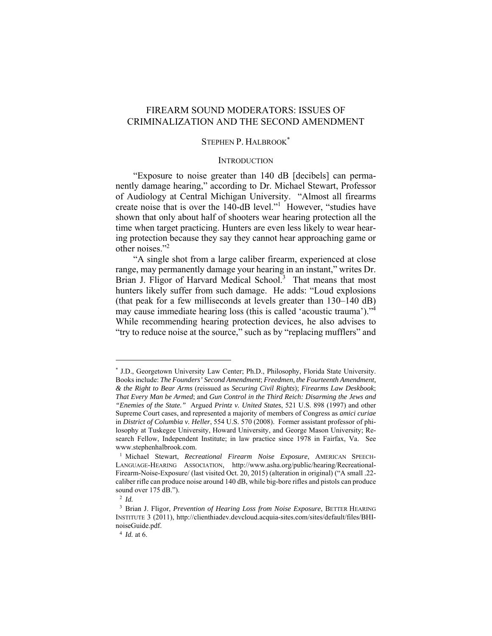# FIREARM SOUND MODERATORS: ISSUES OF CRIMINALIZATION AND THE SECOND AMENDMENT

#### STEPHEN P. HALBROOK<sup>\*</sup>

#### **INTRODUCTION**

"Exposure to noise greater than 140 dB [decibels] can permanently damage hearing," according to Dr. Michael Stewart, Professor of Audiology at Central Michigan University. "Almost all firearms create noise that is over the 140-dB level."<sup>1</sup> However, "studies have shown that only about half of shooters wear hearing protection all the time when target practicing. Hunters are even less likely to wear hearing protection because they say they cannot hear approaching game or other noises."2

"A single shot from a large caliber firearm, experienced at close range, may permanently damage your hearing in an instant," writes Dr. Brian J. Fligor of Harvard Medical School.<sup>3</sup> That means that most hunters likely suffer from such damage. He adds: "Loud explosions (that peak for a few milliseconds at levels greater than 130–140 dB) may cause immediate hearing loss (this is called 'acoustic trauma')."4 While recommending hearing protection devices, he also advises to "try to reduce noise at the source," such as by "replacing mufflers" and

<sup>\*</sup> J.D., Georgetown University Law Center; Ph.D., Philosophy, Florida State University. Books include: *The Founders' Second Amendment*; *Freedmen, the Fourteenth Amendment, & the Right to Bear Arms* (reissued as *Securing Civil Rights*); *Firearms Law Deskbook*; *That Every Man be Armed*; and *Gun Control in the Third Reich: Disarming the Jews and "Enemies of the State."* Argued *Printz v. United States*, 521 U.S. 898 (1997) and other Supreme Court cases, and represented a majority of members of Congress as *amici curiae*  in *District of Columbia v. Heller*, 554 U.S. 570 (2008). Former assistant professor of philosophy at Tuskegee University, Howard University, and George Mason University; Research Fellow, Independent Institute; in law practice since 1978 in Fairfax, Va. See www.stephenhalbrook.com.

<sup>1</sup> Michael Stewart, *Recreational Firearm Noise Exposure*, AMERICAN SPEECH-LANGUAGE-HEARING ASSOCIATION, http://www.asha.org/public/hearing/Recreational-Firearm-Noise-Exposure/ (last visited Oct. 20, 2015) (alteration in original) ("A small .22 caliber rifle can produce noise around 140 dB, while big-bore rifles and pistols can produce sound over 175 dB.").

<sup>2</sup> *Id.*

<sup>3</sup> Brian J. Fligor, *Prevention of Hearing Loss from Noise Exposure*, BETTER HEARING INSTITUTE 3 (2011), http://clienthiadev.devcloud.acquia-sites.com/sites/default/files/BHInoiseGuide.pdf.

<sup>4</sup> *Id.* at 6.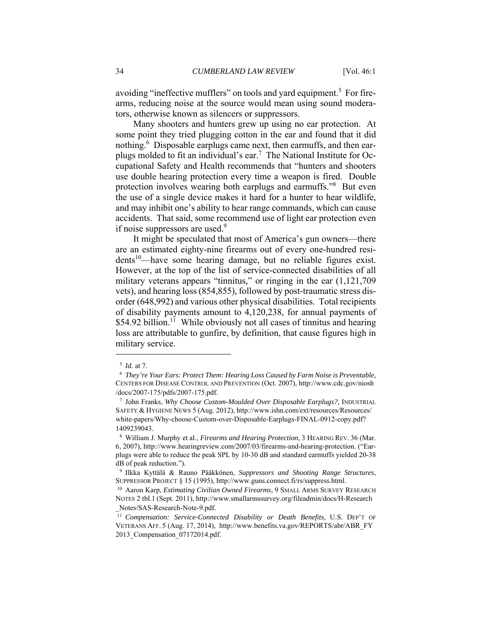avoiding "ineffective mufflers" on tools and yard equipment.<sup>5</sup> For firearms, reducing noise at the source would mean using sound moderators, otherwise known as silencers or suppressors.

Many shooters and hunters grew up using no ear protection. At some point they tried plugging cotton in the ear and found that it did nothing.<sup>6</sup> Disposable earplugs came next, then earmuffs, and then earplugs molded to fit an individual's ear.<sup>7</sup> The National Institute for Occupational Safety and Health recommends that "hunters and shooters use double hearing protection every time a weapon is fired. Double protection involves wearing both earplugs and earmuffs."<sup>8</sup> But even the use of a single device makes it hard for a hunter to hear wildlife, and may inhibit one's ability to hear range commands, which can cause accidents. That said, some recommend use of light ear protection even if noise suppressors are used.<sup>9</sup>

It might be speculated that most of America's gun owners—there are an estimated eighty-nine firearms out of every one-hundred residents<sup>10</sup>—have some hearing damage, but no reliable figures exist. However, at the top of the list of service-connected disabilities of all military veterans appears "tinnitus," or ringing in the ear (1,121,709 vets), and hearing loss (854,855), followed by post-traumatic stress disorder (648,992) and various other physical disabilities. Total recipients of disability payments amount to 4,120,238, for annual payments of  $$54.92$  billion.<sup>11</sup> While obviously not all cases of tinnitus and hearing loss are attributable to gunfire, by definition, that cause figures high in military service.

<sup>5</sup> *Id.* at 7. 6 *They're Your Ears: Protect Them: Hearing Loss Caused by Farm Noise is Preventable*, CENTERS FOR DISEASE CONTROL AND PREVENTION (Oct. 2007), http://www.cdc.gov/niosh /docs/2007-175/pdfs/2007-175.pdf.

<sup>7</sup> John Franks, *Why Choose Custom-Moulded Over Disposable Earplugs?*, INDUSTRIAL SAFETY & HYGIENE NEWS 5 (Aug. 2012), http://www.ishn.com/ext/resources/Resources/ white-papers/Why-choose-Custom-over-Disposable-Earplugs-FINAL-0912-copy.pdf? 1409239043.

<sup>8</sup> William J. Murphy et al., *Firearms and Hearing Protection*, 3 HEARING REV. 36 (Mar. 6, 2007), http://www.hearingreview.com/2007/03/firearms-and-hearing-protection. ("Earplugs were able to reduce the peak SPL by 10-30 dB and standard earmuffs yielded 20-38 dB of peak reduction.").

<sup>9</sup> Ilkka Kyttälä & Rauno Pääkkönen, *Suppressors and Shooting Range Structures*, SUPPRESSOR PROJECT § 15 (1995), http://www.guns.connect.fi/rs/suppress.html. 10 Aaron Karp, *Estimating Civilian Owned Firearms*, 9 SMALL ARMS SURVEY RESEARCH

NOTES 2 tbl.1 (Sept. 2011), http://www.smallarmssurvey.org/fileadmin/docs/H-Research \_Notes/SAS-Research-Note-9.pdf.

<sup>&</sup>lt;sup>11</sup> Compensation: Service-Connected Disability or Death Benefits, U.S. DEP'T OF VETERANS AFF. 5 (Aug. 17, 2014), http://www.benefits.va.gov/REPORTS/abr/ABR\_FY 2013\_Compensation\_07172014.pdf.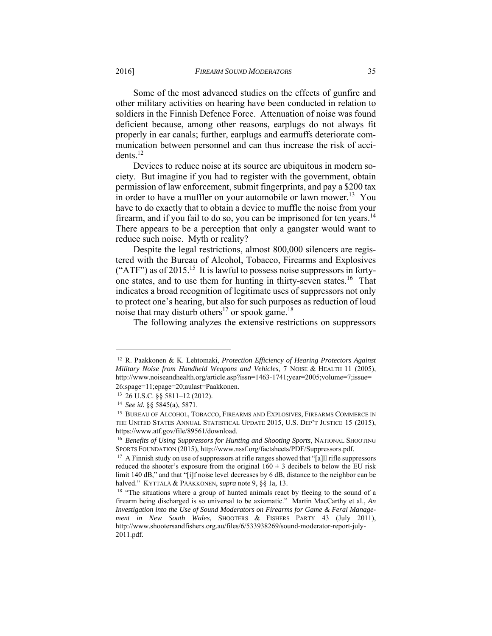Some of the most advanced studies on the effects of gunfire and other military activities on hearing have been conducted in relation to soldiers in the Finnish Defence Force. Attenuation of noise was found deficient because, among other reasons, earplugs do not always fit properly in ear canals; further, earplugs and earmuffs deteriorate communication between personnel and can thus increase the risk of accidents $12$ 

Devices to reduce noise at its source are ubiquitous in modern society. But imagine if you had to register with the government, obtain permission of law enforcement, submit fingerprints, and pay a \$200 tax in order to have a muffler on your automobile or lawn mower.<sup>13</sup> You have to do exactly that to obtain a device to muffle the noise from your firearm, and if you fail to do so, you can be imprisoned for ten years.<sup>14</sup> There appears to be a perception that only a gangster would want to reduce such noise. Myth or reality?

Despite the legal restrictions, almost 800,000 silencers are registered with the Bureau of Alcohol, Tobacco, Firearms and Explosives ("ATF") as of  $2015$ .<sup>15</sup> It is lawful to possess noise suppressors in fortyone states, and to use them for hunting in thirty-seven states.16 That indicates a broad recognition of legitimate uses of suppressors not only to protect one's hearing, but also for such purposes as reduction of loud noise that may disturb others<sup>17</sup> or spook game.<sup>18</sup>

The following analyzes the extensive restrictions on suppressors

<sup>12</sup> R. Paakkonen & K. Lehtomaki, *Protection Efficiency of Hearing Protectors Against Military Noise from Handheld Weapons and Vehicles*, 7 NOISE & HEALTH 11 (2005), http://www.noiseandhealth.org/article.asp?issn=1463-1741;year=2005;volume=7;issue=

<sup>26;</sup>spage=11;epage=20;aulast=Paakkonen. 13 26 U.S.C. §§ 5811–12 (2012).

<sup>&</sup>lt;sup>14</sup> See *id.* §§ 5845(a), 5871.<br><sup>15</sup> BUREAU OF ALCOHOL, TOBACCO, FIREARMS AND EXPLOSIVES, FIREARMS COMMERCE IN THE UNITED STATES ANNUAL STATISTICAL UPDATE 2015, U.S. DEP'T JUSTICE 15 (2015), https://www.atf.gov/file/89561/download.

<sup>16</sup> *Benefits of Using Suppressors for Hunting and Shooting Sports*, NATIONAL SHOOTING SPORTS FOUNDATION (2015), http://www.nssf.org/factsheets/PDF/Suppressors.pdf. <sup>17</sup> A Finnish study on use of suppressors at rifle ranges showed that "[a]ll rifle suppressors

reduced the shooter's exposure from the original  $160 \pm 3$  decibels to below the EU risk limit 140 dB," and that "[i]f noise level decreases by 6 dB, distance to the neighbor can be halved." KYTTÄLÄ & PÄÄKKÖNEN, *supra* note 9, §§ 1a, 13.<br><sup>18</sup> "The situations where a group of hunted animals react by fleeing to the sound of a

firearm being discharged is so universal to be axiomatic." Martin MacCarthy et al., *An Investigation into the Use of Sound Moderators on Firearms for Game & Feral Management in New South Wales*, SHOOTERS & FISHERS PARTY 43 (July 2011), http://www.shootersandfishers.org.au/files/6/533938269/sound-moderator-report-july-2011.pdf.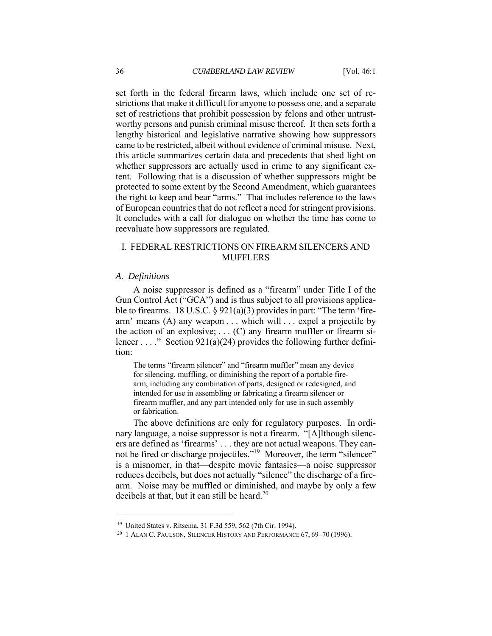set forth in the federal firearm laws, which include one set of restrictions that make it difficult for anyone to possess one, and a separate set of restrictions that prohibit possession by felons and other untrustworthy persons and punish criminal misuse thereof. It then sets forth a lengthy historical and legislative narrative showing how suppressors came to be restricted, albeit without evidence of criminal misuse. Next, this article summarizes certain data and precedents that shed light on whether suppressors are actually used in crime to any significant extent. Following that is a discussion of whether suppressors might be protected to some extent by the Second Amendment, which guarantees the right to keep and bear "arms." That includes reference to the laws of European countries that do not reflect a need for stringent provisions. It concludes with a call for dialogue on whether the time has come to reevaluate how suppressors are regulated.

# I. FEDERAL RESTRICTIONS ON FIREARM SILENCERS AND MUFFLERS

#### *A. Definitions*

A noise suppressor is defined as a "firearm" under Title I of the Gun Control Act ("GCA") and is thus subject to all provisions applicable to firearms. 18 U.S.C. § 921(a)(3) provides in part: "The term 'firearm' means (A) any weapon . . . which will . . . expel a projectile by the action of an explosive;  $\dots$  (C) any firearm muffler or firearm silencer . . . ." Section 921(a)(24) provides the following further definition:

The terms "firearm silencer" and "firearm muffler" mean any device for silencing, muffling, or diminishing the report of a portable firearm, including any combination of parts, designed or redesigned, and intended for use in assembling or fabricating a firearm silencer or firearm muffler, and any part intended only for use in such assembly or fabrication.

The above definitions are only for regulatory purposes. In ordinary language, a noise suppressor is not a firearm. "[A]lthough silencers are defined as 'firearms' . . . they are not actual weapons. They cannot be fired or discharge projectiles."19 Moreover, the term "silencer" is a misnomer, in that—despite movie fantasies—a noise suppressor reduces decibels, but does not actually "silence" the discharge of a firearm. Noise may be muffled or diminished, and maybe by only a few decibels at that, but it can still be heard.<sup>20</sup>

<sup>&</sup>lt;sup>19</sup> United States v. Ritsema, 31 F.3d 559, 562 (7th Cir. 1994).<br><sup>20</sup> 1 ALAN C. PAULSON, SILENCER HISTORY AND PERFORMANCE 67, 69–70 (1996).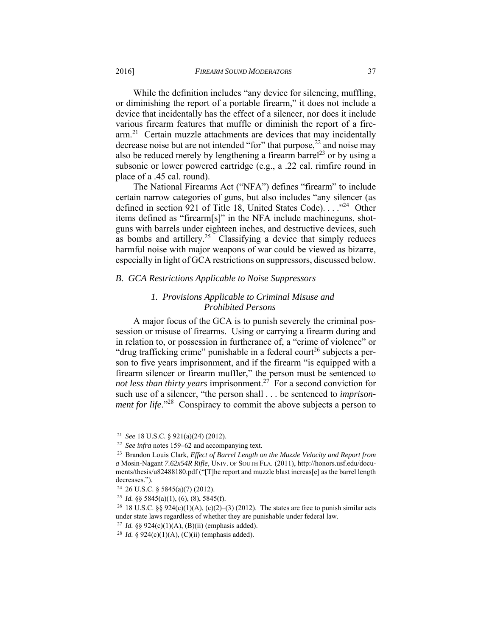While the definition includes "any device for silencing, muffling, or diminishing the report of a portable firearm," it does not include a device that incidentally has the effect of a silencer, nor does it include various firearm features that muffle or diminish the report of a firearm.21 Certain muzzle attachments are devices that may incidentally decrease noise but are not intended "for" that purpose, $^{22}$  and noise may also be reduced merely by lengthening a firearm barrel<sup>23</sup> or by using a subsonic or lower powered cartridge (e.g., a .22 cal. rimfire round in place of a .45 cal. round).

The National Firearms Act ("NFA") defines "firearm" to include certain narrow categories of guns, but also includes "any silencer (as defined in section 921 of Title 18, United States Code). . . ."24 Other items defined as "firearm[s]" in the NFA include machineguns, shotguns with barrels under eighteen inches, and destructive devices, such as bombs and artillery.<sup>25</sup> Classifying a device that simply reduces harmful noise with major weapons of war could be viewed as bizarre, especially in light of GCA restrictions on suppressors, discussed below.

## *B. GCA Restrictions Applicable to Noise Suppressors*

# *1. Provisions Applicable to Criminal Misuse and Prohibited Persons*

A major focus of the GCA is to punish severely the criminal possession or misuse of firearms. Using or carrying a firearm during and in relation to, or possession in furtherance of, a "crime of violence" or "drug trafficking crime" punishable in a federal court<sup>26</sup> subjects a person to five years imprisonment, and if the firearm "is equipped with a firearm silencer or firearm muffler," the person must be sentenced to *not less than thirty years imprisonment.*<sup>27</sup> For a second conviction for such use of a silencer, "the person shall . . . be sentenced to *imprisonment for life*."<sup>28</sup> Conspiracy to commit the above subjects a person to

<sup>21</sup> *See* 18 U.S.C. § 921(a)(24) (2012). 22 *See infra* notes 159–62 and accompanying text. 23 Brandon Louis Clark, *Effect of Barrel Length on the Muzzle Velocity and Report from a* Mosin-Nagant *7.62x54R Rifle*, UNIV. OF SOUTH FLA. (2011), http://honors.usf.edu/documents/thesis/u82488180.pdf ("[T]he report and muzzle blast increas[e] as the barrel length decreases.").

 $24$  26 U.S.C. § 5845(a)(7) (2012).

<sup>&</sup>lt;sup>25</sup> *Id.* §§ 5845(a)(1), (6), (8), 5845(f).<br><sup>26</sup> 18 U.S.C. §§ 924(c)(1)(A), (c)(2)–(3) (2012). The states are free to punish similar acts under state laws regardless of whether they are punishable under federal law.<br><sup>27</sup> *Id.* §§ 924(c)(1)(A), (B)(ii) (emphasis added).<br><sup>28</sup> *Id.* § 924(c)(1)(A), (C)(ii) (emphasis added).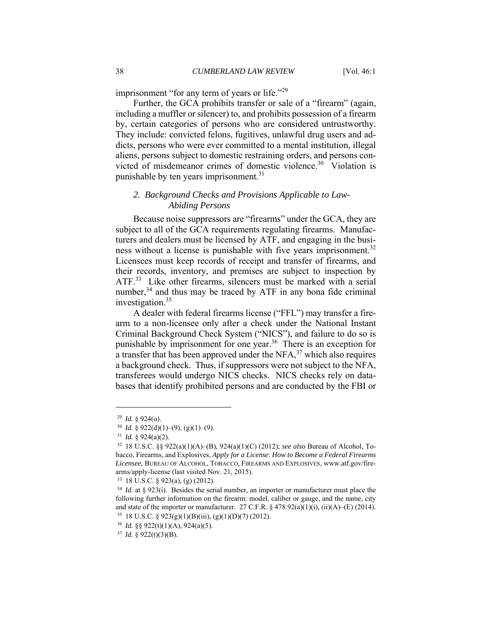imprisonment "for any term of years or life."<sup>29</sup>

Further, the GCA prohibits transfer or sale of a "firearm" (again, including a muffler or silencer) to, and prohibits possession of a firearm by, certain categories of persons who are considered untrustworthy. They include: convicted felons, fugitives, unlawful drug users and addicts, persons who were ever committed to a mental institution, illegal aliens, persons subject to domestic restraining orders, and persons convicted of misdemeanor crimes of domestic violence.<sup>30</sup> Violation is punishable by ten years imprisonment.<sup>31</sup>

## *2. Background Checks and Provisions Applicable to Law-Abiding Persons*

Because noise suppressors are "firearms" under the GCA, they are subject to all of the GCA requirements regulating firearms. Manufacturers and dealers must be licensed by ATF, and engaging in the business without a license is punishable with five years imprisonment.<sup>32</sup> Licensees must keep records of receipt and transfer of firearms, and their records, inventory, and premises are subject to inspection by ATF.<sup>33</sup> Like other firearms, silencers must be marked with a serial number, $34$  and thus may be traced by ATF in any bona fide criminal investigation.35

A dealer with federal firearms license ("FFL") may transfer a firearm to a non-licensee only after a check under the National Instant Criminal Background Check System ("NICS"), and failure to do so is punishable by imprisonment for one year.<sup>36</sup> There is an exception for a transfer that has been approved under the  $NFA$ ,<sup>37</sup> which also requires a background check. Thus, if suppressors were not subject to the NFA, transferees would undergo NICS checks. NICS checks rely on databases that identify prohibited persons and are conducted by the FBI or

<sup>29</sup> *Id.* § 924(o). 30 *Id.* § 922(d)(1)–(9), (g)(1)–(9). 31 *Id.* § 924(a)(2). 32 18 U.S.C. §§ 922(a)(1)(A)–(B), 924(a)(1)(C) (2012); *see also* Bureau of Alcohol, Tobacco, Firearms, and Explosives, *Apply for a License*: *How to Become a Federal Firearms Licensee*, BUREAU OF ALCOHOL, TOBACCO, FIREARMS AND EXPLOSIVES, www.atf.gov/firearms/apply-license (last visited Nov. 21, 2015). 33 18 U.S.C. § 923(a), (g) (2012).

<sup>34</sup> *Id.* at § 923(i). Besides the serial number, an importer or manufacturer must place the following further information on the firearm: model, caliber or gauge, and the name, city and state of the importer or manufacturer. 27 C.F.R. § 478.92(a)(1)(i), (ii)(A)–(E) (2014). <sup>35</sup> 18 U.S.C. § 923(g)(1)(B)(iii), (g)(1)(D)(7) (2012).

<sup>36</sup> *Id.* §§ 922(t)(1)(A), 924(a)(5). 37 *Id.* § 922(t)(3)(B).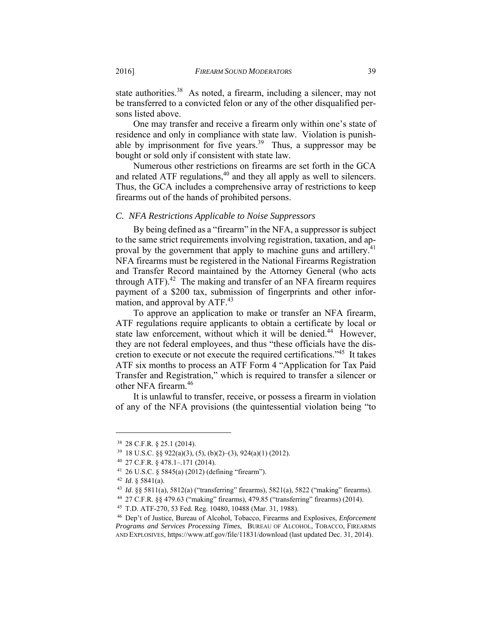state authorities.<sup>38</sup> As noted, a firearm, including a silencer, may not be transferred to a convicted felon or any of the other disqualified persons listed above.

One may transfer and receive a firearm only within one's state of residence and only in compliance with state law. Violation is punishable by imprisonment for five years.<sup>39</sup> Thus, a suppressor may be bought or sold only if consistent with state law.

Numerous other restrictions on firearms are set forth in the GCA and related ATF regulations,<sup>40</sup> and they all apply as well to silencers. Thus, the GCA includes a comprehensive array of restrictions to keep firearms out of the hands of prohibited persons.

#### *C. NFA Restrictions Applicable to Noise Suppressors*

By being defined as a "firearm" in the NFA, a suppressor is subject to the same strict requirements involving registration, taxation, and approval by the government that apply to machine guns and artillery.<sup>41</sup> NFA firearms must be registered in the National Firearms Registration and Transfer Record maintained by the Attorney General (who acts through ATF). $42$  The making and transfer of an NFA firearm requires payment of a \$200 tax, submission of fingerprints and other information, and approval by ATF.<sup>43</sup>

To approve an application to make or transfer an NFA firearm, ATF regulations require applicants to obtain a certificate by local or state law enforcement, without which it will be denied.<sup>44</sup> However, they are not federal employees, and thus "these officials have the discretion to execute or not execute the required certifications."45 It takes ATF six months to process an ATF Form 4 "Application for Tax Paid Transfer and Registration," which is required to transfer a silencer or other NFA firearm.<sup>46</sup>

It is unlawful to transfer, receive, or possess a firearm in violation of any of the NFA provisions (the quintessential violation being "to

<sup>38 28</sup> C.F.R. § 25.1 (2014).

<sup>&</sup>lt;sup>39</sup> 18 U.S.C. §§ 922(a)(3), (5), (b)(2)–(3), 924(a)(1) (2012).<br><sup>40</sup> 27 C.F.R. § 478.1–.171 (2014).

<sup>&</sup>lt;sup>41</sup> 26 U.S.C. § 5845(a) (2012) (defining "firearm").<br><sup>42</sup> *Id.* § 5841(a).<br><sup>43</sup> *Id.* §§ 5811(a), 5812(a) ("transferring" firearms), 5821(a), 5822 ("making" firearms).<br><sup>44</sup> 27 C.F.R. §§ 479.63 ("making" firearms), 479.85

*Programs and Services Processing Times*, BUREAU OF ALCOHOL, TOBACCO, FIREARMS AND EXPLOSIVES, https://www.atf.gov/file/11831/download (last updated Dec. 31, 2014).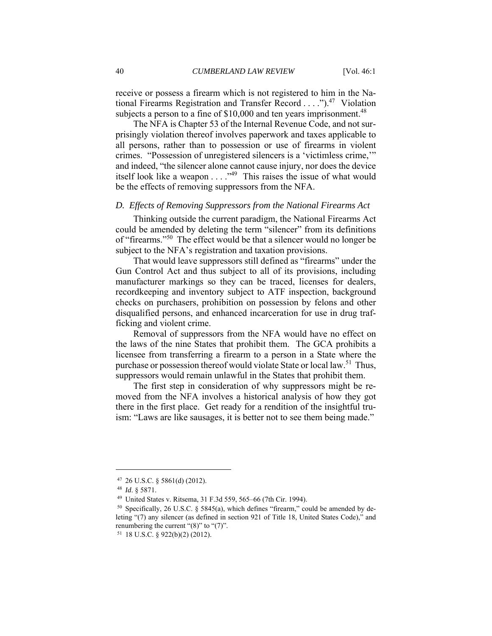receive or possess a firearm which is not registered to him in the National Firearms Registration and Transfer Record . . . .").<sup>47</sup> Violation subjects a person to a fine of  $$10,000$  and ten years imprisonment.<sup>48</sup>

The NFA is Chapter 53 of the Internal Revenue Code, and not surprisingly violation thereof involves paperwork and taxes applicable to all persons, rather than to possession or use of firearms in violent crimes. "Possession of unregistered silencers is a 'victimless crime,'" and indeed, "the silencer alone cannot cause injury, nor does the device itself look like a weapon . . . . "<sup>49</sup> This raises the issue of what would be the effects of removing suppressors from the NFA.

#### *D. Effects of Removing Suppressors from the National Firearms Act*

Thinking outside the current paradigm, the National Firearms Act could be amended by deleting the term "silencer" from its definitions of "firearms."50 The effect would be that a silencer would no longer be subject to the NFA's registration and taxation provisions.

That would leave suppressors still defined as "firearms" under the Gun Control Act and thus subject to all of its provisions, including manufacturer markings so they can be traced, licenses for dealers, recordkeeping and inventory subject to ATF inspection, background checks on purchasers, prohibition on possession by felons and other disqualified persons, and enhanced incarceration for use in drug trafficking and violent crime.

Removal of suppressors from the NFA would have no effect on the laws of the nine States that prohibit them. The GCA prohibits a licensee from transferring a firearm to a person in a State where the purchase or possession thereof would violate State or local law.<sup>51</sup> Thus, suppressors would remain unlawful in the States that prohibit them.

The first step in consideration of why suppressors might be removed from the NFA involves a historical analysis of how they got there in the first place. Get ready for a rendition of the insightful truism: "Laws are like sausages, it is better not to see them being made."

<sup>47 26</sup> U.S.C. § 5861(d) (2012).

<sup>48</sup> *Id*. § 5871. 49 United States v. Ritsema, 31 F.3d 559, 565–66 (7th Cir. 1994).

<sup>&</sup>lt;sup>50</sup> Specifically, 26 U.S.C. § 5845(a), which defines "firearm," could be amended by deleting "(7) any silencer (as defined in section 921 of Title 18, United States Code)," and renumbering the current " $(8)$ " to " $(7)$ ".

<sup>51 18</sup> U.S.C. § 922(b)(2) (2012).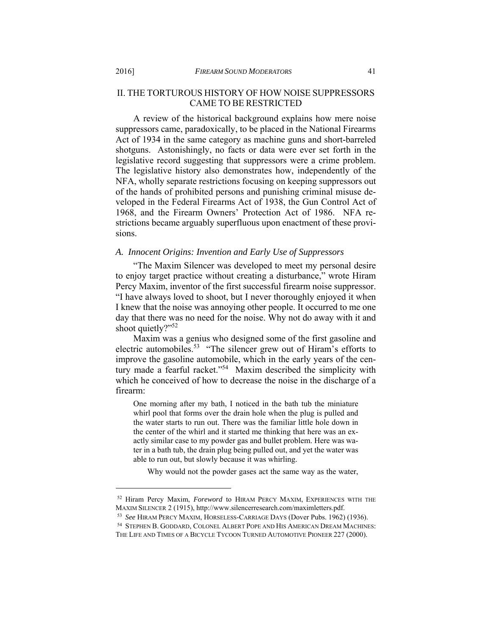# II. THE TORTUROUS HISTORY OF HOW NOISE SUPPRESSORS CAME TO BE RESTRICTED

A review of the historical background explains how mere noise suppressors came, paradoxically, to be placed in the National Firearms Act of 1934 in the same category as machine guns and short-barreled shotguns. Astonishingly, no facts or data were ever set forth in the legislative record suggesting that suppressors were a crime problem. The legislative history also demonstrates how, independently of the NFA, wholly separate restrictions focusing on keeping suppressors out of the hands of prohibited persons and punishing criminal misuse developed in the Federal Firearms Act of 1938, the Gun Control Act of 1968, and the Firearm Owners' Protection Act of 1986. NFA restrictions became arguably superfluous upon enactment of these provisions.

## *A. Innocent Origins: Invention and Early Use of Suppressors*

"The Maxim Silencer was developed to meet my personal desire to enjoy target practice without creating a disturbance," wrote Hiram Percy Maxim, inventor of the first successful firearm noise suppressor. "I have always loved to shoot, but I never thoroughly enjoyed it when I knew that the noise was annoying other people. It occurred to me one day that there was no need for the noise. Why not do away with it and shoot quietly?"<sup>52</sup>

Maxim was a genius who designed some of the first gasoline and electric automobiles.<sup>53</sup> "The silencer grew out of Hiram's efforts to improve the gasoline automobile, which in the early years of the century made a fearful racket."<sup>54</sup> Maxim described the simplicity with which he conceived of how to decrease the noise in the discharge of a firearm:

One morning after my bath, I noticed in the bath tub the miniature whirl pool that forms over the drain hole when the plug is pulled and the water starts to run out. There was the familiar little hole down in the center of the whirl and it started me thinking that here was an exactly similar case to my powder gas and bullet problem. Here was water in a bath tub, the drain plug being pulled out, and yet the water was able to run out, but slowly because it was whirling.

Why would not the powder gases act the same way as the water,

<sup>&</sup>lt;sup>52</sup> Hiram Percy Maxim, *Foreword* to HIRAM PERCY MAXIM, EXPERIENCES WITH THE MAXIM SILENCER 2 (1915), http://www.silencerresearch.com/maximletters.pdf.

<sup>&</sup>lt;sup>53</sup> See Hiram Percy Maxim, Horseless-Carriage Days (Dover Pubs. 1962) (1936).<br><sup>54</sup> Stephen B. Goddard. Colonel Albert Pope and His American Dream Machines:

THE LIFE AND TIMES OF A BICYCLE TYCOON TURNED AUTOMOTIVE PIONEER 227 (2000).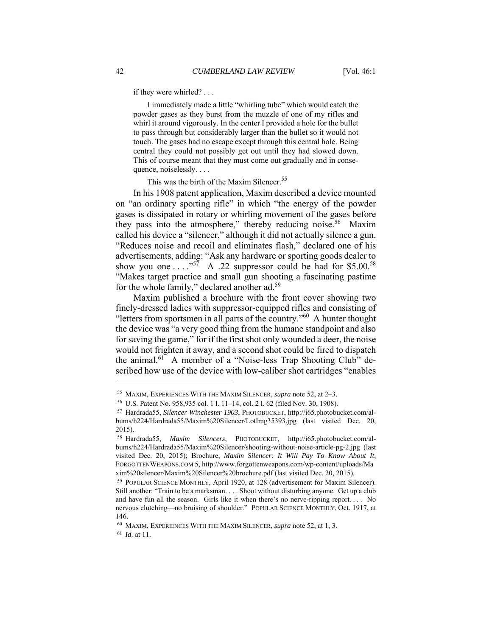if they were whirled? . . .

 I immediately made a little "whirling tube" which would catch the powder gases as they burst from the muzzle of one of my rifles and whirl it around vigorously. In the center I provided a hole for the bullet to pass through but considerably larger than the bullet so it would not touch. The gases had no escape except through this central hole. Being central they could not possibly get out until they had slowed down. This of course meant that they must come out gradually and in consequence, noiselessly. . . .

This was the birth of the Maxim Silencer.<sup>55</sup>

In his 1908 patent application, Maxim described a device mounted on "an ordinary sporting rifle" in which "the energy of the powder gases is dissipated in rotary or whirling movement of the gases before they pass into the atmosphere," thereby reducing noise.<sup>56</sup> Maxim called his device a "silencer," although it did not actually silence a gun. "Reduces noise and recoil and eliminates flash," declared one of his advertisements, adding: "Ask any hardware or sporting goods dealer to show you one  $\ldots$ ."<sup>57</sup> A .22 suppressor could be had for \$5.00.<sup>58</sup> "Makes target practice and small gun shooting a fascinating pastime for the whole family," declared another ad.<sup>59</sup>

Maxim published a brochure with the front cover showing two finely-dressed ladies with suppressor-equipped rifles and consisting of "letters from sportsmen in all parts of the country."60 A hunter thought the device was "a very good thing from the humane standpoint and also for saving the game," for if the first shot only wounded a deer, the noise would not frighten it away, and a second shot could be fired to dispatch the animal.<sup>61</sup> A member of a "Noise-less Trap Shooting Club" described how use of the device with low-caliber shot cartridges "enables

<sup>&</sup>lt;sup>55</sup> MAXIM, EXPERIENCES WITH THE MAXIM SILENCER, *supra* note 52, at  $2-3$ .<br><sup>56</sup> U.S. Patent No. 958,935 col. 1 1. 11–14, col. 2 1. 62 (filed Nov. 30, 1908).<br><sup>57</sup> Hardrada55, *Silencer Winchester 1903*, PHOTOBUCKET, http: bums/h224/Hardrada55/Maxim%20Silencer/LotImg35393.jpg (last visited Dec. 20, 2015).

<sup>58</sup> Hardrada55, *Maxim Silencers*, PHOTOBUCKET, http://i65.photobucket.com/albums/h224/Hardrada55/Maxim%20Silencer/shooting-without-noise-article-pg-2.jpg (last visited Dec. 20, 2015); Brochure, *Maxim Silencer: It Will Pay To Know About It*, FORGOTTENWEAPONS.COM 5, http://www.forgottenweapons.com/wp-content/uploads/Ma xim%20silencer/Maxim%20Silencer%20brochure.pdf (last visited Dec. 20, 2015). 59 POPULAR SCIENCE MONTHLY, April 1920, at 128 (advertisement for Maxim Silencer).

Still another: "Train to be a marksman. . . . Shoot without disturbing anyone. Get up a club and have fun all the season. Girls like it when there's no nerve-ripping report. . . . No nervous clutching—no bruising of shoulder." POPULAR SCIENCE MONTHLY, Oct. 1917, at 146.

<sup>60</sup> MAXIM, EXPERIENCES WITH THE MAXIM SILENCER, *supra* note 52, at 1, 3. 61 *Id*. at 11.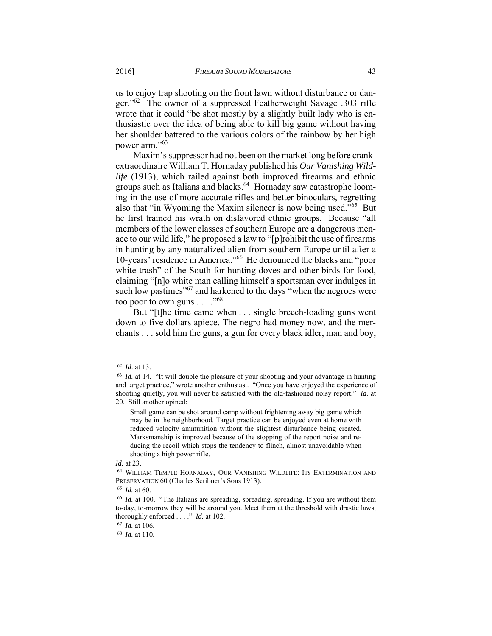us to enjoy trap shooting on the front lawn without disturbance or danger."62 The owner of a suppressed Featherweight Savage .303 rifle wrote that it could "be shot mostly by a slightly built lady who is enthusiastic over the idea of being able to kill big game without having her shoulder battered to the various colors of the rainbow by her high power arm."63

Maxim's suppressor had not been on the market long before crankextraordinaire William T. Hornaday published his *Our Vanishing Wildlife* (1913), which railed against both improved firearms and ethnic groups such as Italians and blacks.<sup>64</sup> Hornaday saw catastrophe looming in the use of more accurate rifles and better binoculars, regretting also that "in Wyoming the Maxim silencer is now being used."65 But he first trained his wrath on disfavored ethnic groups. Because "all members of the lower classes of southern Europe are a dangerous menace to our wild life," he proposed a law to "[p]rohibit the use of firearms in hunting by any naturalized alien from southern Europe until after a 10-years' residence in America."66 He denounced the blacks and "poor white trash" of the South for hunting doves and other birds for food, claiming "[n]o white man calling himself a sportsman ever indulges in such low pastimes"<sup>67</sup> and harkened to the days "when the negroes were too poor to own guns . . . . "68

But "[t]he time came when . . . single breech-loading guns went down to five dollars apiece. The negro had money now, and the merchants . . . sold him the guns, a gun for every black idler, man and boy,

<sup>62</sup> *Id*. at 13. 63 *Id.* at 14. "It will double the pleasure of your shooting and your advantage in hunting and target practice," wrote another enthusiast. "Once you have enjoyed the experience of shooting quietly, you will never be satisfied with the old-fashioned noisy report." *Id.* at 20. Still another opined:

Small game can be shot around camp without frightening away big game which may be in the neighborhood. Target practice can be enjoyed even at home with reduced velocity ammunition without the slightest disturbance being created. Marksmanship is improved because of the stopping of the report noise and reducing the recoil which stops the tendency to flinch, almost unavoidable when shooting a high power rifle.

*Id.* at 23. **64 WILLIAM TEMPLE HORNADAY, OUR VANISHING WILDLIFE: ITS EXTERMINATION AND** PRESERVATION 60 (Charles Scribner's Sons 1913).<br><sup>65</sup> *Id.* at 60.<br><sup>66</sup> *Id.* at 100. "The Italians are spreading, spreading, spreading. If you are without them

to-day, to-morrow they will be around you. Meet them at the threshold with drastic laws, thoroughly enforced . . . ." *Id.* at 102. 67 *Id.* at 106. 68 *Id.* at 110.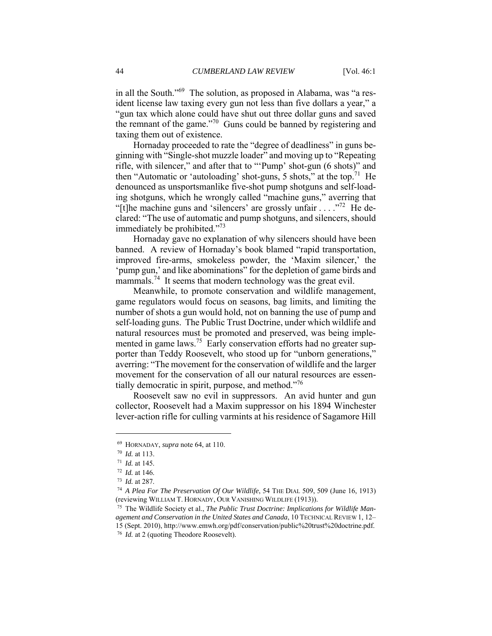in all the South."69 The solution, as proposed in Alabama, was "a resident license law taxing every gun not less than five dollars a year," a "gun tax which alone could have shut out three dollar guns and saved the remnant of the game."70 Guns could be banned by registering and taxing them out of existence.

Hornaday proceeded to rate the "degree of deadliness" in guns beginning with "Single-shot muzzle loader" and moving up to "Repeating rifle, with silencer," and after that to "'Pump' shot-gun (6 shots)" and then "Automatic or 'autoloading' shot-guns, 5 shots," at the top.<sup>71</sup> He denounced as unsportsmanlike five-shot pump shotguns and self-loading shotguns, which he wrongly called "machine guns," averring that "[t]he machine guns and 'silencers' are grossly unfair  $\ldots$  ."<sup>72</sup> He declared: "The use of automatic and pump shotguns, and silencers, should immediately be prohibited."<sup>73</sup>

Hornaday gave no explanation of why silencers should have been banned. A review of Hornaday's book blamed "rapid transportation, improved fire-arms, smokeless powder, the 'Maxim silencer,' the 'pump gun,' and like abominations" for the depletion of game birds and mammals.<sup>74</sup> It seems that modern technology was the great evil.

Meanwhile, to promote conservation and wildlife management, game regulators would focus on seasons, bag limits, and limiting the number of shots a gun would hold, not on banning the use of pump and self-loading guns. The Public Trust Doctrine, under which wildlife and natural resources must be promoted and preserved, was being implemented in game laws.<sup>75</sup> Early conservation efforts had no greater supporter than Teddy Roosevelt, who stood up for "unborn generations," averring: "The movement for the conservation of wildlife and the larger movement for the conservation of all our natural resources are essentially democratic in spirit, purpose, and method."<sup>76</sup>

Roosevelt saw no evil in suppressors. An avid hunter and gun collector, Roosevelt had a Maxim suppressor on his 1894 Winchester lever-action rifle for culling varmints at his residence of Sagamore Hill

<sup>69</sup> HORNADAY, *supra* note 64, at 110.<br>
<sup>70</sup> *Id.* at 113.<br>
<sup>71</sup> *Id.* at 145.<br>
<sup>72</sup> *Id.* at 146.<br>
<sup>73</sup> *Id.* at 287.<br>
<sup>74</sup> *A Plea For The Preservation Of Our Wildlife*, 54 THE DIAL 509, 509 (June 16, 1913) (reviewing WILLIAM T. HORNADY, OUR VANISHING WILDLIFE (1913)).

<sup>75</sup> The Wildlife Society et al., *The Public Trust Doctrine: Implications for Wildlife Management and Conservation in the United States and Canada*, 10 TECHNICAL REVIEW 1, 12– 15 (Sept. 2010), http://www.emwh.org/pdf/conservation/public%20trust%20doctrine.pdf. 76 *Id.* at 2 (quoting Theodore Roosevelt).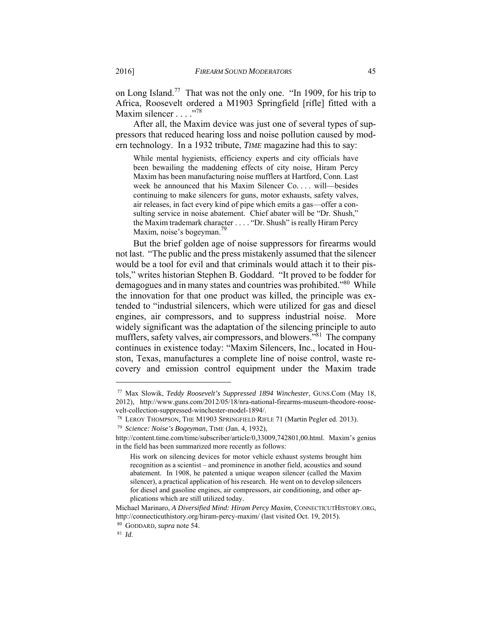on Long Island.77 That was not the only one. "In 1909, for his trip to Africa, Roosevelt ordered a M1903 Springfield [rifle] fitted with a Maxim silencer . . . . . . . . 78

After all, the Maxim device was just one of several types of suppressors that reduced hearing loss and noise pollution caused by modern technology. In a 1932 tribute, *TIME* magazine had this to say:

While mental hygienists, efficiency experts and city officials have been bewailing the maddening effects of city noise, Hiram Percy Maxim has been manufacturing noise mufflers at Hartford, Conn. Last week he announced that his Maxim Silencer Co. . . . will—besides continuing to make silencers for guns, motor exhausts, safety valves, air releases, in fact every kind of pipe which emits a gas—offer a consulting service in noise abatement. Chief abater will be "Dr. Shush," the Maxim trademark character . . . . "Dr. Shush" is really Hiram Percy Maxim, noise's bogeyman.<sup>79</sup>

But the brief golden age of noise suppressors for firearms would not last. "The public and the press mistakenly assumed that the silencer would be a tool for evil and that criminals would attach it to their pistols," writes historian Stephen B. Goddard. "It proved to be fodder for demagogues and in many states and countries was prohibited.<sup>80</sup> While the innovation for that one product was killed, the principle was extended to "industrial silencers, which were utilized for gas and diesel engines, air compressors, and to suppress industrial noise. More widely significant was the adaptation of the silencing principle to auto mufflers, safety valves, air compressors, and blowers."81 The company continues in existence today: "Maxim Silencers, Inc., located in Houston, Texas, manufactures a complete line of noise control, waste recovery and emission control equipment under the Maxim trade

<sup>77</sup> Max Slowik, *Teddy Roosevelt's Suppressed 1894 Winchester*, GUNS.Com (May 18, 2012), http://www.guns.com/2012/05/18/nra-national-firearms-museum-theodore-roosevelt-collection-suppressed-winchester-model-1894/. 78 LEROY THOMPSON, THE M1903 SPRINGFIELD RIFLE 71 (Martin Pegler ed. 2013). 79 *Science: Noise's Bogeyman*, TIME (Jan. 4, 1932),

http://content.time.com/time/subscriber/article/0,33009,742801,00.html. Maxim's genius in the field has been summarized more recently as follows:

His work on silencing devices for motor vehicle exhaust systems brought him recognition as a scientist – and prominence in another field, acoustics and sound abatement. In 1908, he patented a unique weapon silencer (called the Maxim silencer), a practical application of his research. He went on to develop silencers for diesel and gasoline engines, air compressors, air conditioning, and other applications which are still utilized today.

Michael Marinaro, *A Diversified Mind: Hiram Percy Maxim*, CONNECTICUTHISTORY.ORG, http://connecticuthistory.org/hiram-percy-maxim/ (last visited Oct. 19, 2015). 80 GODDARD, *supra* note 54. 81 *Id*.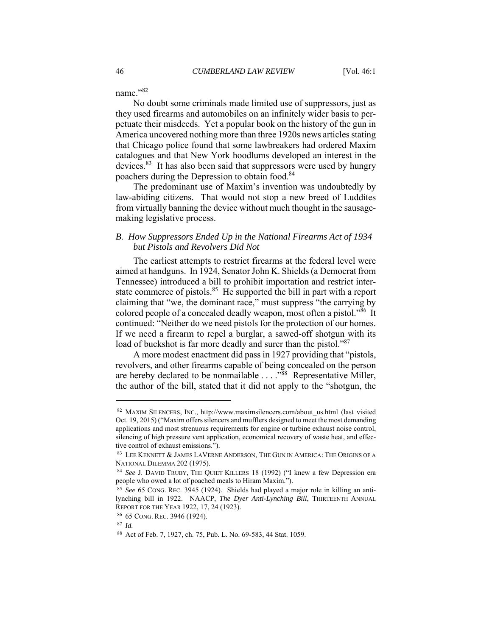name."82

No doubt some criminals made limited use of suppressors, just as they used firearms and automobiles on an infinitely wider basis to perpetuate their misdeeds. Yet a popular book on the history of the gun in America uncovered nothing more than three 1920s news articles stating that Chicago police found that some lawbreakers had ordered Maxim catalogues and that New York hoodlums developed an interest in the devices.<sup>83</sup> It has also been said that suppressors were used by hungry poachers during the Depression to obtain food.<sup>84</sup>

The predominant use of Maxim's invention was undoubtedly by law-abiding citizens. That would not stop a new breed of Luddites from virtually banning the device without much thought in the sausagemaking legislative process.

## *B. How Suppressors Ended Up in the National Firearms Act of 1934 but Pistols and Revolvers Did Not*

The earliest attempts to restrict firearms at the federal level were aimed at handguns. In 1924, Senator John K. Shields (a Democrat from Tennessee) introduced a bill to prohibit importation and restrict interstate commerce of pistols.<sup>85</sup> He supported the bill in part with a report claiming that "we, the dominant race," must suppress "the carrying by colored people of a concealed deadly weapon, most often a pistol.<sup>386</sup> It continued: "Neither do we need pistols for the protection of our homes. If we need a firearm to repel a burglar, a sawed-off shotgun with its load of buckshot is far more deadly and surer than the pistol."<sup>87</sup>

A more modest enactment did pass in 1927 providing that "pistols, revolvers, and other firearms capable of being concealed on the person are hereby declared to be nonmailable . . . .<sup>88</sup> Representative Miller, the author of the bill, stated that it did not apply to the "shotgun, the

<sup>82</sup> MAXIM SILENCERS, INC., http://www.maximsilencers.com/about\_us.html (last visited Oct. 19, 2015) ("Maxim offers silencers and mufflers designed to meet the most demanding applications and most strenuous requirements for engine or turbine exhaust noise control, silencing of high pressure vent application, economical recovery of waste heat, and effec-

tive control of exhaust emissions.").<br><sup>83</sup> LEE KENNETT & JAMES LAVERNE ANDERSON, THE GUN IN AMERICA: THE ORIGINS OF A NATIONAL DILEMMA 202 (1975).<br><sup>84</sup> *See J.* DAVID TRUBY, THE QUIET KILLERS 18 (1992) ("I knew a few Depression era

people who owed a lot of poached meals to Hiram Maxim."). 85 *See* 65 CONG. REC. 3945 (1924). Shields had played a major role in killing an anti-

lynching bill in 1922. NAACP, *The Dyer Anti-Lynching Bill*, THIRTEENTH ANNUAL REPORT FOR THE YEAR 1922, 17, 24 (1923). 86 65 CONG. REC. 3946 (1924). 87 *Id.*

<sup>88</sup> Act of Feb. 7, 1927, ch. 75, Pub. L. No. 69-583, 44 Stat. 1059.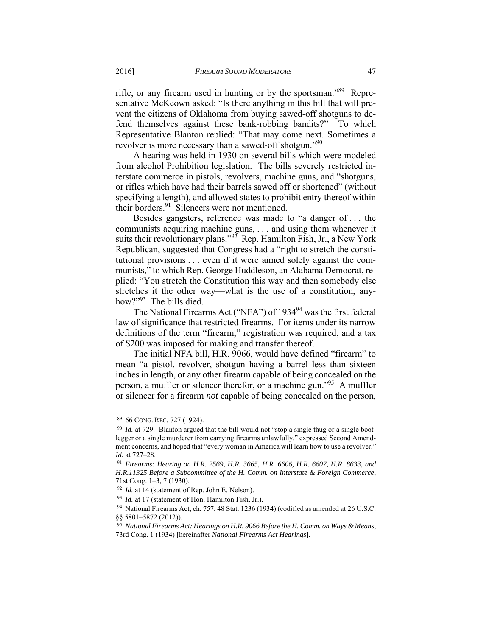rifle, or any firearm used in hunting or by the sportsman."89 Representative McKeown asked: "Is there anything in this bill that will prevent the citizens of Oklahoma from buying sawed-off shotguns to defend themselves against these bank-robbing bandits?" To which Representative Blanton replied: "That may come next. Sometimes a revolver is more necessary than a sawed-off shotgun."<sup>90</sup>

A hearing was held in 1930 on several bills which were modeled from alcohol Prohibition legislation. The bills severely restricted interstate commerce in pistols, revolvers, machine guns, and "shotguns, or rifles which have had their barrels sawed off or shortened" (without specifying a length), and allowed states to prohibit entry thereof within their borders.<sup>91</sup> Silencers were not mentioned.

Besides gangsters, reference was made to "a danger of . . . the communists acquiring machine guns, . . . and using them whenever it suits their revolutionary plans." $92$ <sup>7</sup> Rep. Hamilton Fish, Jr., a New York Republican, suggested that Congress had a "right to stretch the constitutional provisions . . . even if it were aimed solely against the communists," to which Rep. George Huddleson, an Alabama Democrat, replied: "You stretch the Constitution this way and then somebody else stretches it the other way—what is the use of a constitution, anyhow?"<sup>93</sup> The bills died.

The National Firearms Act ("NFA") of 1934<sup>94</sup> was the first federal law of significance that restricted firearms. For items under its narrow definitions of the term "firearm," registration was required, and a tax of \$200 was imposed for making and transfer thereof.

The initial NFA bill, H.R. 9066, would have defined "firearm" to mean "a pistol, revolver, shotgun having a barrel less than sixteen inches in length, or any other firearm capable of being concealed on the person, a muffler or silencer therefor, or a machine gun."95 A muffler or silencer for a firearm *not* capable of being concealed on the person,

 $89\,$  66 CONG. REC. 727 (1924).<br><sup>90</sup> *Id.* at 729. Blanton argued that the bill would not "stop a single thug or a single bootlegger or a single murderer from carrying firearms unlawfully," expressed Second Amendment concerns, and hoped that "every woman in America will learn how to use a revolver." *Id.* at 727–28.

<sup>91</sup> *Firearms: Hearing on H.R. 2569, H.R. 3665, H.R. 6606, H.R. 6607, H.R. 8633, and H.R.11325 Before a Subcommittee of the H. Comm. on Interstate & Foreign Commerce*, 71st Cong. 1–3, 7 (1930).

<sup>&</sup>lt;sup>92</sup> *Id.* at 14 (statement of Rep. John E. Nelson).<br><sup>93</sup> *Id.* at 17 (statement of Hon. Hamilton Fish, Jr.).<br><sup>94</sup> National Firearms Act, ch. 757, 48 Stat. 1236 (1934) (codified as amended at 26 U.S.C. §§ 5801–5872 (2012)).

<sup>95</sup> *National Firearms Act: Hearings on H.R. 9066 Before the H. Comm. on Ways & Means*, 73rd Cong. 1 (1934) [hereinafter *National Firearms Act Hearings*].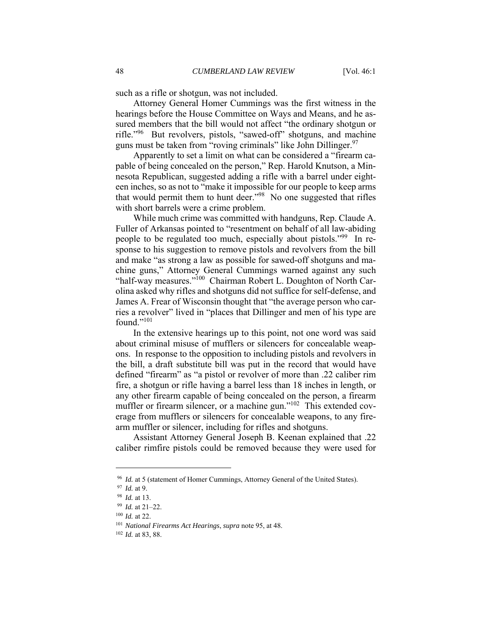such as a rifle or shotgun, was not included.

Attorney General Homer Cummings was the first witness in the hearings before the House Committee on Ways and Means, and he assured members that the bill would not affect "the ordinary shotgun or rifle."96 But revolvers, pistols, "sawed-off" shotguns, and machine guns must be taken from "roving criminals" like John Dillinger.<sup>97</sup>

Apparently to set a limit on what can be considered a "firearm capable of being concealed on the person," Rep. Harold Knutson, a Minnesota Republican, suggested adding a rifle with a barrel under eighteen inches, so as not to "make it impossible for our people to keep arms that would permit them to hunt deer."98 No one suggested that rifles with short barrels were a crime problem.

While much crime was committed with handguns, Rep. Claude A. Fuller of Arkansas pointed to "resentment on behalf of all law-abiding people to be regulated too much, especially about pistols."<sup>99</sup> In response to his suggestion to remove pistols and revolvers from the bill and make "as strong a law as possible for sawed-off shotguns and machine guns," Attorney General Cummings warned against any such "half-way measures."100 Chairman Robert L. Doughton of North Carolina asked why rifles and shotguns did not suffice for self-defense, and James A. Frear of Wisconsin thought that "the average person who carries a revolver" lived in "places that Dillinger and men of his type are found."101

In the extensive hearings up to this point, not one word was said about criminal misuse of mufflers or silencers for concealable weapons. In response to the opposition to including pistols and revolvers in the bill, a draft substitute bill was put in the record that would have defined "firearm" as "a pistol or revolver of more than .22 caliber rim fire, a shotgun or rifle having a barrel less than 18 inches in length, or any other firearm capable of being concealed on the person, a firearm muffler or firearm silencer, or a machine gun."<sup>102</sup> This extended coverage from mufflers or silencers for concealable weapons, to any firearm muffler or silencer, including for rifles and shotguns.

Assistant Attorney General Joseph B. Keenan explained that .22 caliber rimfire pistols could be removed because they were used for

<sup>&</sup>lt;sup>96</sup> *Id.* at 5 (statement of Homer Cummings, Attorney General of the United States).<br><sup>97</sup> *Id.* at 9.<br><sup>98</sup> *Id.* at 13.<br><sup>99</sup> *Id.* at 21–22.<br><sup>100</sup> *Id.* at 22.<br><sup>101</sup> *National Firearms Act Hearings, supra* note 95, at 48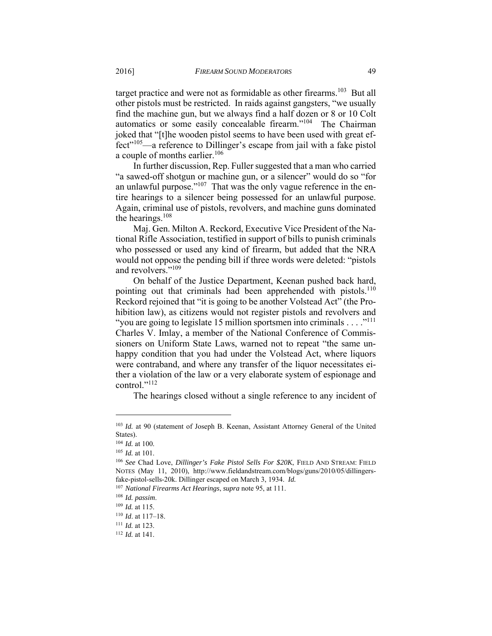target practice and were not as formidable as other firearms.<sup>103</sup> But all other pistols must be restricted. In raids against gangsters, "we usually find the machine gun, but we always find a half dozen or 8 or 10 Colt automatics or some easily concealable firearm."104 The Chairman joked that "[t]he wooden pistol seems to have been used with great effect"105—a reference to Dillinger's escape from jail with a fake pistol a couple of months earlier.<sup>106</sup>

In further discussion, Rep. Fuller suggested that a man who carried "a sawed-off shotgun or machine gun, or a silencer" would do so "for an unlawful purpose." $107$  That was the only vague reference in the entire hearings to a silencer being possessed for an unlawful purpose. Again, criminal use of pistols, revolvers, and machine guns dominated the hearings. $108$ 

Maj. Gen. Milton A. Reckord, Executive Vice President of the National Rifle Association, testified in support of bills to punish criminals who possessed or used any kind of firearm, but added that the NRA would not oppose the pending bill if three words were deleted: "pistols and revolvers."109

On behalf of the Justice Department, Keenan pushed back hard, pointing out that criminals had been apprehended with pistols.<sup>110</sup> Reckord rejoined that "it is going to be another Volstead Act" (the Prohibition law), as citizens would not register pistols and revolvers and "you are going to legislate 15 million sportsmen into criminals  $\dots$ ."<sup>111</sup> Charles V. Imlay, a member of the National Conference of Commissioners on Uniform State Laws, warned not to repeat "the same unhappy condition that you had under the Volstead Act, where liquors were contraband, and where any transfer of the liquor necessitates either a violation of the law or a very elaborate system of espionage and control."<sup>112</sup>

The hearings closed without a single reference to any incident of

<sup>103</sup> *Id.* at 90 (statement of Joseph B. Keenan, Assistant Attorney General of the United States).

<sup>104</sup> *Id.* at 100.<br><sup>105</sup> *Id.* at 101.<br><sup>106</sup> See Chad Love, *Dillinger's Fake Pistol Sells For \$20K*, FIELD AND STREAM: FIELD NOTES (May 11, 2010), http://www.fieldandstream.com/blogs/guns/2010/05/dillingersfake-pistol-sells-20k. Dillinger escaped on March 3, 1934. *Id.* 

<sup>107</sup> *National Firearms Act Hearings*, *supra* note 95, at 111.<br>
<sup>108</sup> *Id. passim.*<br>
<sup>109</sup> *Id.* at 115.<br>
<sup>110</sup> *Id.* at 117–18.<br>
<sup>111</sup> *Id.* at 123.<br>
<sup>112</sup> *Id.* at 141.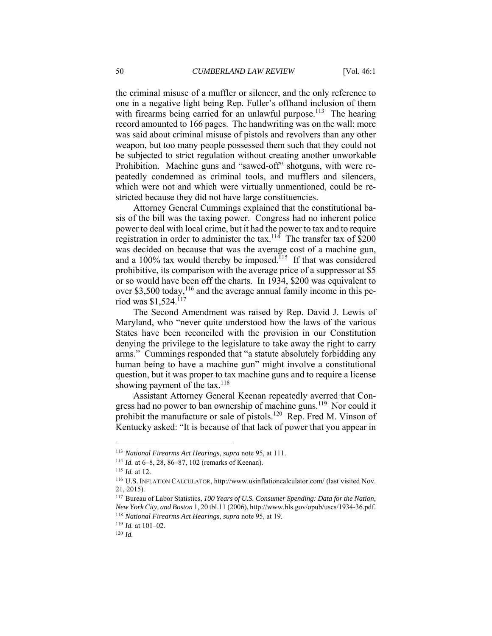the criminal misuse of a muffler or silencer, and the only reference to one in a negative light being Rep. Fuller's offhand inclusion of them with firearms being carried for an unlawful purpose.<sup>113</sup> The hearing record amounted to 166 pages. The handwriting was on the wall: more was said about criminal misuse of pistols and revolvers than any other weapon, but too many people possessed them such that they could not be subjected to strict regulation without creating another unworkable Prohibition. Machine guns and "sawed-off" shotguns, with were repeatedly condemned as criminal tools, and mufflers and silencers, which were not and which were virtually unmentioned, could be restricted because they did not have large constituencies.

Attorney General Cummings explained that the constitutional basis of the bill was the taxing power. Congress had no inherent police power to deal with local crime, but it had the power to tax and to require registration in order to administer the tax.<sup>114</sup> The transfer tax of  $\hat{\$200}$ was decided on because that was the average cost of a machine gun, and a  $100\%$  tax would thereby be imposed.<sup>115</sup> If that was considered prohibitive, its comparison with the average price of a suppressor at \$5 or so would have been off the charts. In 1934, \$200 was equivalent to over \$3,500 today,<sup>116</sup> and the average annual family income in this period was \$1,524.117

The Second Amendment was raised by Rep. David J. Lewis of Maryland, who "never quite understood how the laws of the various States have been reconciled with the provision in our Constitution denying the privilege to the legislature to take away the right to carry arms." Cummings responded that "a statute absolutely forbidding any human being to have a machine gun" might involve a constitutional question, but it was proper to tax machine guns and to require a license showing payment of the tax.<sup>118</sup>

Assistant Attorney General Keenan repeatedly averred that Congress had no power to ban ownership of machine guns.<sup>119</sup> Nor could it prohibit the manufacture or sale of pistols.<sup>120</sup> Rep. Fred M. Vinson of Kentucky asked: "It is because of that lack of power that you appear in

<sup>&</sup>lt;sup>113</sup> National Firearms Act Hearings, supra note 95, at 111.<br><sup>114</sup> *Id.* at 6–8, 28, 86–87, 102 (remarks of Keenan).<br><sup>115</sup> *Id.* at 12.<br><sup>116</sup> U.S. INFLATION CALCULATOR, http://www.usinflationcalculator.com/ (last visited 21, 2015).

<sup>117</sup> Bureau of Labor Statistics, *100 Years of U.S. Consumer Spending: Data for the Nation, New York City, and Boston* 1, 20 tbl.11 (2006), http://www.bls.gov/opub/uscs/1934-36.pdf. <sup>118</sup> *National Firearms Act Hearings, supra* note 95, at 19. <sup>119</sup> *Id.* at 101–02. <sup>120</sup> *Id.*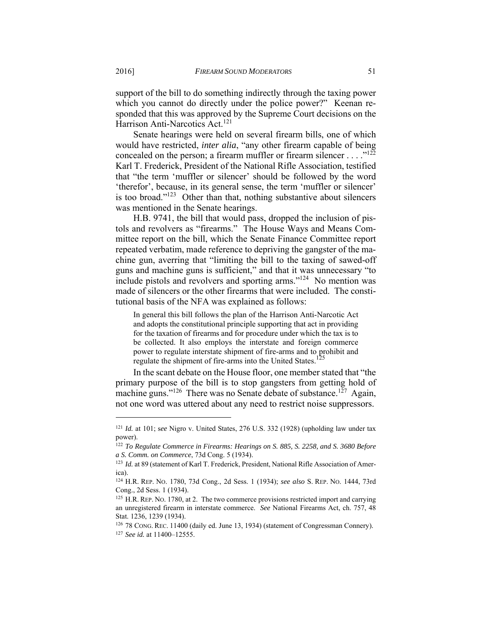support of the bill to do something indirectly through the taxing power which you cannot do directly under the police power?" Keenan responded that this was approved by the Supreme Court decisions on the Harrison Anti-Narcotics Act.<sup>121</sup>

Senate hearings were held on several firearm bills, one of which would have restricted, *inter alia*, "any other firearm capable of being concealed on the person; a firearm muffler or firearm silencer . . . .  $\cdot$ <sup>122</sup> Karl T. Frederick, President of the National Rifle Association, testified that "the term 'muffler or silencer' should be followed by the word 'therefor', because, in its general sense, the term 'muffler or silencer' is too broad."<sup>123</sup> Other than that, nothing substantive about silencers was mentioned in the Senate hearings.

H.B. 9741, the bill that would pass, dropped the inclusion of pistols and revolvers as "firearms." The House Ways and Means Committee report on the bill, which the Senate Finance Committee report repeated verbatim, made reference to depriving the gangster of the machine gun, averring that "limiting the bill to the taxing of sawed-off guns and machine guns is sufficient," and that it was unnecessary "to include pistols and revolvers and sporting arms."124 No mention was made of silencers or the other firearms that were included. The constitutional basis of the NFA was explained as follows:

In general this bill follows the plan of the Harrison Anti-Narcotic Act and adopts the constitutional principle supporting that act in providing for the taxation of firearms and for procedure under which the tax is to be collected. It also employs the interstate and foreign commerce power to regulate interstate shipment of fire-arms and to prohibit and regulate the shipment of fire-arms into the United States.<sup>125</sup>

In the scant debate on the House floor, one member stated that "the primary purpose of the bill is to stop gangsters from getting hold of machine guns."<sup>126</sup> There was no Senate debate of substance.<sup>127</sup> Again, not one word was uttered about any need to restrict noise suppressors.

<sup>121</sup> *Id.* at 101; s*ee* Nigro v. United States, 276 U.S. 332 (1928) (upholding law under tax power).

<sup>122</sup> *To Regulate Commerce in Firearms: Hearings on S. 885, S. 2258, and S. 3680 Before a S. Comm. on Commerce*, 73d Cong. 5 (1934).<br><sup>123</sup> *Id.* at 89 (statement of Karl T. Frederick, President, National Rifle Association of Amer-

ica).

<sup>124</sup> H.R. REP. NO. 1780, 73d Cong., 2d Sess. 1 (1934); *see also* S. REP. NO. 1444, 73rd Cong., 2d Sess. 1 (1934).

<sup>&</sup>lt;sup>125</sup> H.R. REP. No. 1780, at 2. The two commerce provisions restricted import and carrying an unregistered firearm in interstate commerce. *See* National Firearms Act, ch. 757, 48 Stat. 1236, 1239 (1934).

<sup>126 78</sup> CONG. REC. 11400 (daily ed. June 13, 1934) (statement of Congressman Connery). 127 *See id.* at 11400–12555.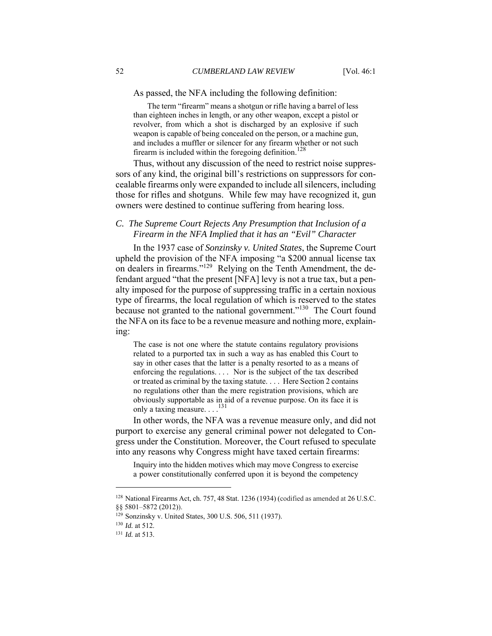As passed, the NFA including the following definition:

 The term "firearm" means a shotgun or rifle having a barrel of less than eighteen inches in length, or any other weapon, except a pistol or revolver, from which a shot is discharged by an explosive if such weapon is capable of being concealed on the person, or a machine gun, and includes a muffler or silencer for any firearm whether or not such firearm is included within the foregoing definition.<sup>128</sup>

Thus, without any discussion of the need to restrict noise suppressors of any kind, the original bill's restrictions on suppressors for concealable firearms only were expanded to include all silencers, including those for rifles and shotguns. While few may have recognized it, gun owners were destined to continue suffering from hearing loss.

## *C. The Supreme Court Rejects Any Presumption that Inclusion of a Firearm in the NFA Implied that it has an "Evil" Character*

In the 1937 case of *Sonzinsky v. United States*, the Supreme Court upheld the provision of the NFA imposing "a \$200 annual license tax on dealers in firearms."<sup>129</sup> Relying on the Tenth Amendment, the defendant argued "that the present [NFA] levy is not a true tax, but a penalty imposed for the purpose of suppressing traffic in a certain noxious type of firearms, the local regulation of which is reserved to the states because not granted to the national government."<sup>130</sup> The Court found the NFA on its face to be a revenue measure and nothing more, explaining:

The case is not one where the statute contains regulatory provisions related to a purported tax in such a way as has enabled this Court to say in other cases that the latter is a penalty resorted to as a means of enforcing the regulations. . . . Nor is the subject of the tax described or treated as criminal by the taxing statute. . . . Here Section 2 contains no regulations other than the mere registration provisions, which are obviously supportable as in aid of a revenue purpose. On its face it is only a taxing measure. . . .<sup>131</sup>

In other words, the NFA was a revenue measure only, and did not purport to exercise any general criminal power not delegated to Congress under the Constitution. Moreover, the Court refused to speculate into any reasons why Congress might have taxed certain firearms:

Inquiry into the hidden motives which may move Congress to exercise a power constitutionally conferred upon it is beyond the competency

<sup>128</sup> National Firearms Act, ch. 757, 48 Stat. 1236 (1934) (codified as amended at 26 U.S.C. §§ 5801-5872 (2012)).

<sup>1&</sup>lt;sup>29</sup> Sonzinsky v. United States, 300 U.S. 506, 511 (1937).<br><sup>130</sup> *Id.* at 512.<br><sup>131</sup> *Id.* at 513.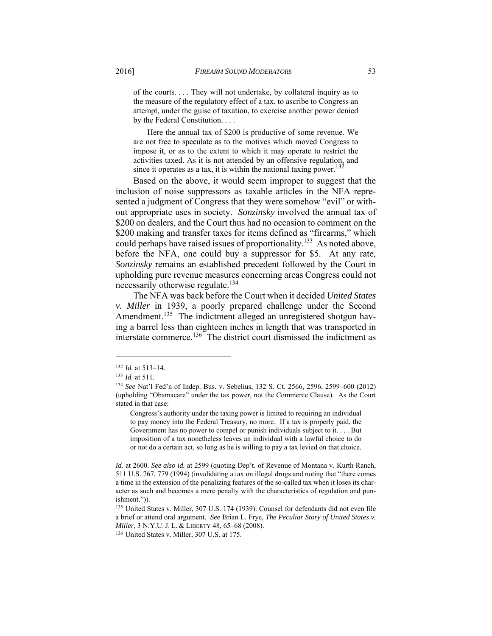of the courts. . . . They will not undertake, by collateral inquiry as to the measure of the regulatory effect of a tax, to ascribe to Congress an attempt, under the guise of taxation, to exercise another power denied by the Federal Constitution. . . .

 Here the annual tax of \$200 is productive of some revenue. We are not free to speculate as to the motives which moved Congress to impose it, or as to the extent to which it may operate to restrict the activities taxed. As it is not attended by an offensive regulation, and since it operates as a tax, it is within the national taxing power. $132$ 

Based on the above, it would seem improper to suggest that the inclusion of noise suppressors as taxable articles in the NFA represented a judgment of Congress that they were somehow "evil" or without appropriate uses in society. *Sonzinsky* involved the annual tax of \$200 on dealers, and the Court thus had no occasion to comment on the \$200 making and transfer taxes for items defined as "firearms," which could perhaps have raised issues of proportionality.<sup>133</sup> As noted above, before the NFA, one could buy a suppressor for \$5. At any rate, *Sonzinsky* remains an established precedent followed by the Court in upholding pure revenue measures concerning areas Congress could not necessarily otherwise regulate.<sup>134</sup>

The NFA was back before the Court when it decided *United States v. Miller* in 1939, a poorly prepared challenge under the Second Amendment.<sup>135</sup> The indictment alleged an unregistered shotgun having a barrel less than eighteen inches in length that was transported in interstate commerce.136 The district court dismissed the indictment as

<sup>132</sup> *Id.* at 513–14. 133 *Id.* at 511. 134 *See* Nat'l Fed'n of Indep. Bus. v. Sebelius, 132 S. Ct. 2566, 2596, 2599–600 (2012) (upholding "Obamacare" under the tax power, not the Commerce Clause). As the Court stated in that case:

Congress's authority under the taxing power is limited to requiring an individual to pay money into the Federal Treasury, no more. If a tax is properly paid, the Government has no power to compel or punish individuals subject to it. . . . But imposition of a tax nonetheless leaves an individual with a lawful choice to do or not do a certain act, so long as he is willing to pay a tax levied on that choice.

*Id.* at 2600. *See also id.* at 2599 (quoting Dep't. of Revenue of Montana v. Kurth Ranch, 511 U.S. 767, 779 (1994) (invalidating a tax on illegal drugs and noting that "there comes a time in the extension of the penalizing features of the so-called tax when it loses its character as such and becomes a mere penalty with the characteristics of regulation and punishment.")).

<sup>135</sup> United States v. Miller, 307 U.S. 174 (1939). Counsel for defendants did not even file a brief or attend oral argument. *See* Brian L. Frye, *The Peculiar Story of United States v. Miller*, 3 N.Y.U.J. L. & LIBERTY 48, 65–68 (2008).<br><sup>136</sup> United States v. Miller, 307 U.S. at 175.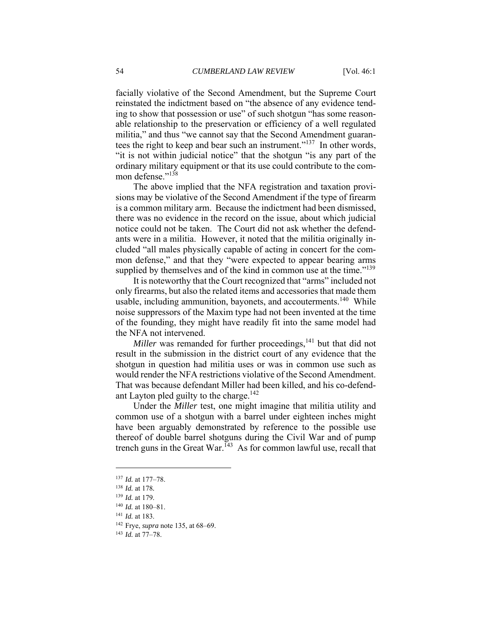facially violative of the Second Amendment, but the Supreme Court reinstated the indictment based on "the absence of any evidence tending to show that possession or use" of such shotgun "has some reasonable relationship to the preservation or efficiency of a well regulated militia," and thus "we cannot say that the Second Amendment guarantees the right to keep and bear such an instrument."<sup>137</sup> In other words, "it is not within judicial notice" that the shotgun "is any part of the ordinary military equipment or that its use could contribute to the common defense."<sup>138</sup>

The above implied that the NFA registration and taxation provisions may be violative of the Second Amendment if the type of firearm is a common military arm. Because the indictment had been dismissed, there was no evidence in the record on the issue, about which judicial notice could not be taken. The Court did not ask whether the defendants were in a militia. However, it noted that the militia originally included "all males physically capable of acting in concert for the common defense," and that they "were expected to appear bearing arms supplied by themselves and of the kind in common use at the time."<sup>139</sup>

It is noteworthy that the Court recognized that "arms" included not only firearms, but also the related items and accessories that made them usable, including ammunition, bayonets, and accouterments.<sup>140</sup> While noise suppressors of the Maxim type had not been invented at the time of the founding, they might have readily fit into the same model had the NFA not intervened.

*Miller* was remanded for further proceedings,<sup>141</sup> but that did not result in the submission in the district court of any evidence that the shotgun in question had militia uses or was in common use such as would render the NFA restrictions violative of the Second Amendment. That was because defendant Miller had been killed, and his co-defendant Layton pled guilty to the charge.<sup>142</sup>

Under the *Miller* test, one might imagine that militia utility and common use of a shotgun with a barrel under eighteen inches might have been arguably demonstrated by reference to the possible use thereof of double barrel shotguns during the Civil War and of pump trench guns in the Great War.<sup>143</sup> As for common lawful use, recall that

<sup>137</sup> *Id.* at 177–78. 138 *Id.* at 178*.*

<sup>139</sup> *Id.* at 179.<br>
140 *Id.* at 180–81.<br>
141 *Id.* at 183.<br>
142 Frye, *supra* note 135, at 68–69.<br>
143 *Id.* at 77–78.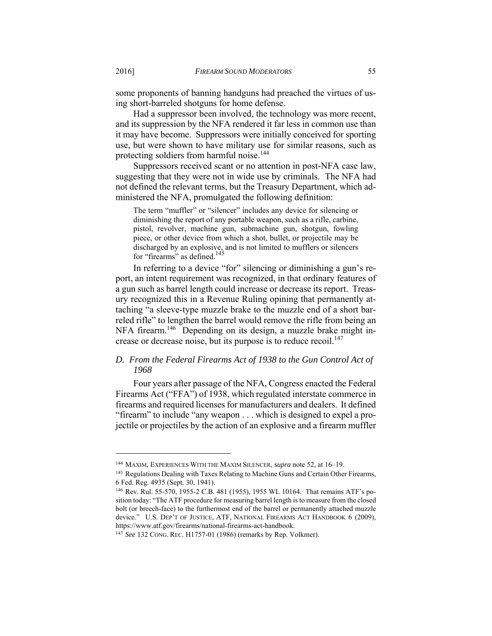some proponents of banning handguns had preached the virtues of using short-barreled shotguns for home defense.

Had a suppressor been involved, the technology was more recent, and its suppression by the NFA rendered it far less in common use than it may have become. Suppressors were initially conceived for sporting use, but were shown to have military use for similar reasons, such as protecting soldiers from harmful noise.<sup>144</sup>

Suppressors received scant or no attention in post-NFA case law, suggesting that they were not in wide use by criminals. The NFA had not defined the relevant terms, but the Treasury Department, which administered the NFA, promulgated the following definition:

The term "muffler" or "silencer" includes any device for silencing or diminishing the report of any portable weapon, such as a rifle, carbine, pistol, revolver, machine gun, submachine gun, shotgun, fowling piece, or other device from which a shot, bullet, or projectile may be discharged by an explosive, and is not limited to mufflers or silencers for "firearms" as defined.<sup>145</sup>

In referring to a device "for" silencing or diminishing a gun's report, an intent requirement was recognized, in that ordinary features of a gun such as barrel length could increase or decrease its report. Treasury recognized this in a Revenue Ruling opining that permanently attaching "a sleeve-type muzzle brake to the muzzle end of a short barreled rifle" to lengthen the barrel would remove the rifle from being an NFA firearm.<sup>146</sup> Depending on its design, a muzzle brake might increase or decrease noise, but its purpose is to reduce recoil. $147$ 

# *D. From the Federal Firearms Act of 1938 to the Gun Control Act of 1968*

Four years after passage of the NFA, Congress enacted the Federal Firearms Act ("FFA") of 1938, which regulated interstate commerce in firearms and required licenses for manufacturers and dealers. It defined "firearm" to include "any weapon . . . which is designed to expel a projectile or projectiles by the action of an explosive and a firearm muffler

<sup>&</sup>lt;sup>144</sup> MAXIM, EXPERIENCES WITH THE MAXIM SILENCER, *supra* note 52, at 16–19.<br><sup>145</sup> Regulations Dealing with Taxes Relating to Machine Guns and Certain Other Firearms, 6 Fed. Reg. 4935 (Sept. 30, 1941).

<sup>146</sup> Rev. Rul. 55-570, 1955-2 C.B. 481 (1955), 1955 WL 10164. That remains ATF's position today: "The ATF procedure for measuring barrel length is to measure from the closed bolt (or breech-face) to the furthermost end of the barrel or permanently attached muzzle device." U.S. DEP'T OF JUSTICE, ATF, NATIONAL FIREARMS ACT HANDBOOK 6 (2009), https://www.atf.gov/firearms/national-firearms-act-handbook.

<sup>147</sup> *See* 132 CONG. REC. H1757-01 (1986) (remarks by Rep. Volkmer).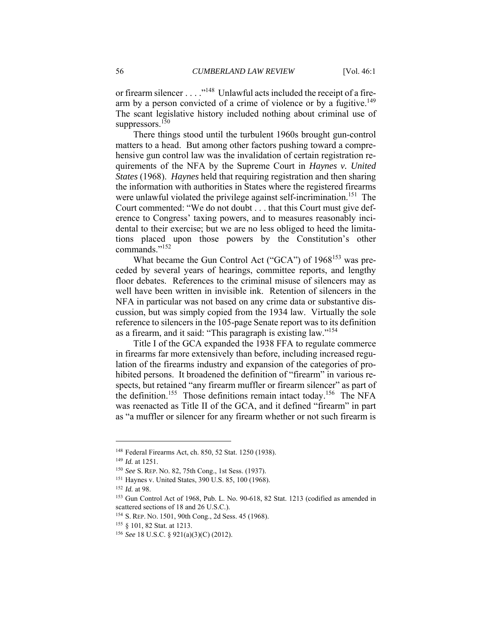or firearm silencer . . . . "<sup>148</sup> Unlawful acts included the receipt of a firearm by a person convicted of a crime of violence or by a fugitive.<sup>149</sup> The scant legislative history included nothing about criminal use of suppressors. $150$ 

There things stood until the turbulent 1960s brought gun-control matters to a head. But among other factors pushing toward a comprehensive gun control law was the invalidation of certain registration requirements of the NFA by the Supreme Court in *Haynes v. United States* (1968). *Haynes* held that requiring registration and then sharing the information with authorities in States where the registered firearms were unlawful violated the privilege against self-incrimination.<sup>151</sup> The Court commented: "We do not doubt . . . that this Court must give deference to Congress' taxing powers, and to measures reasonably incidental to their exercise; but we are no less obliged to heed the limitations placed upon those powers by the Constitution's other commands."152

What became the Gun Control Act ("GCA") of 1968<sup>153</sup> was preceded by several years of hearings, committee reports, and lengthy floor debates. References to the criminal misuse of silencers may as well have been written in invisible ink. Retention of silencers in the NFA in particular was not based on any crime data or substantive discussion, but was simply copied from the 1934 law. Virtually the sole reference to silencers in the 105-page Senate report was to its definition as a firearm, and it said: "This paragraph is existing law."154

Title I of the GCA expanded the 1938 FFA to regulate commerce in firearms far more extensively than before, including increased regulation of the firearms industry and expansion of the categories of prohibited persons. It broadened the definition of "firearm" in various respects, but retained "any firearm muffler or firearm silencer" as part of the definition.<sup>155</sup> Those definitions remain intact today.<sup>156</sup> The NFA was reenacted as Title II of the GCA, and it defined "firearm" in part as "a muffler or silencer for any firearm whether or not such firearm is

<sup>&</sup>lt;sup>148</sup> Federal Firearms Act, ch. 850, 52 Stat. 1250 (1938).<br>
<sup>149</sup> *Id.* at 1251.<br>
<sup>150</sup> *See* S. REP. No. 82, 75th Cong., 1st Sess. (1937).<br>
<sup>151</sup> Haynes v. United States, 390 U.S. 85, 100 (1968).<br>
<sup>152</sup> *Id.* at 98.<br>
<sup>15</sup> scattered sections of 18 and 26 U.S.C.).

<sup>154</sup> S. REP. NO. 1501, 90th Cong., 2d Sess. 45 (1968). 155 § 101, 82 Stat. at 1213. 156 *See* 18 U.S.C. § 921(a)(3)(C) (2012).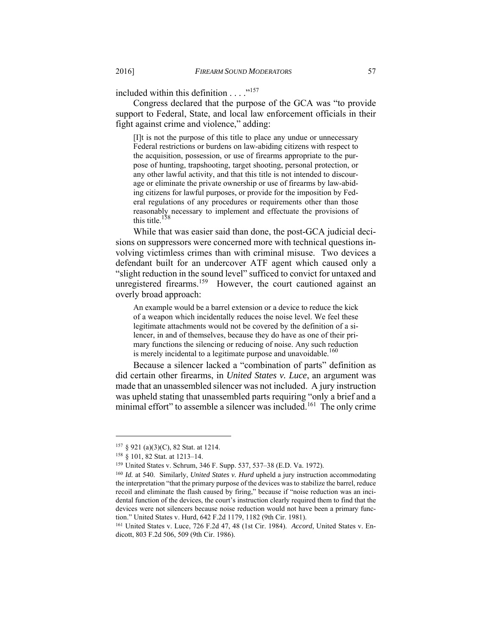included within this definition . . . . .<sup>157</sup>

Congress declared that the purpose of the GCA was "to provide support to Federal, State, and local law enforcement officials in their fight against crime and violence," adding:

[I]t is not the purpose of this title to place any undue or unnecessary Federal restrictions or burdens on law-abiding citizens with respect to the acquisition, possession, or use of firearms appropriate to the purpose of hunting, trapshooting, target shooting, personal protection, or any other lawful activity, and that this title is not intended to discourage or eliminate the private ownership or use of firearms by law-abiding citizens for lawful purposes, or provide for the imposition by Federal regulations of any procedures or requirements other than those reasonably necessary to implement and effectuate the provisions of this title.<sup>158</sup>

While that was easier said than done, the post-GCA judicial decisions on suppressors were concerned more with technical questions involving victimless crimes than with criminal misuse. Two devices a defendant built for an undercover ATF agent which caused only a "slight reduction in the sound level" sufficed to convict for untaxed and unregistered firearms.<sup>159</sup> However, the court cautioned against an overly broad approach:

An example would be a barrel extension or a device to reduce the kick of a weapon which incidentally reduces the noise level. We feel these legitimate attachments would not be covered by the definition of a silencer, in and of themselves, because they do have as one of their primary functions the silencing or reducing of noise. Any such reduction is merely incidental to a legitimate purpose and unavoidable.<sup>160</sup>

Because a silencer lacked a "combination of parts" definition as did certain other firearms, in *United States v. Luce*, an argument was made that an unassembled silencer was not included. A jury instruction was upheld stating that unassembled parts requiring "only a brief and a minimal effort" to assemble a silencer was included.<sup>161</sup> The only crime

<sup>&</sup>lt;sup>157</sup> § 921 (a)(3)(C), 82 Stat. at 1214.<br><sup>158</sup> § 101, 82 Stat. at 1213–14.<br><sup>159</sup> United States v. Schrum, 346 F. Supp. 537, 537–38 (E.D. Va. 1972).<br><sup>159</sup> *Id.* at 540. Similarly, *United States v. Hurd* upheld a jury inst

the interpretation "that the primary purpose of the devices was to stabilize the barrel, reduce recoil and eliminate the flash caused by firing," because if "noise reduction was an incidental function of the devices, the court's instruction clearly required them to find that the devices were not silencers because noise reduction would not have been a primary function." United States v. Hurd, 642 F.2d 1179, 1182 (9th Cir. 1981).<br><sup>161</sup> United States v. Luce, 726 F.2d 47, 48 (1st Cir. 1984). *Accord*, United States v. En-

dicott, 803 F.2d 506, 509 (9th Cir. 1986).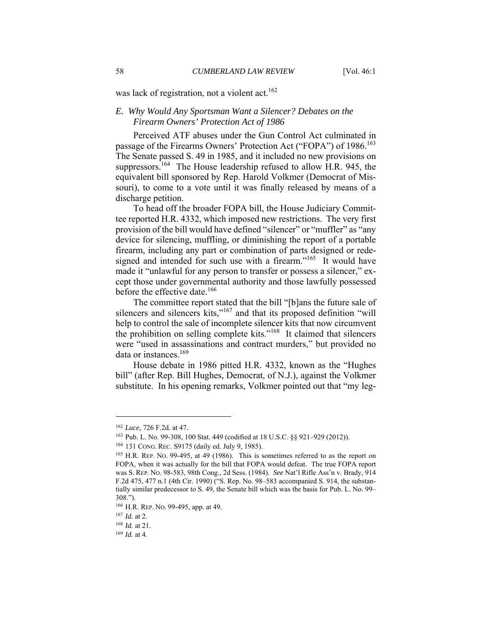was lack of registration, not a violent act.<sup>162</sup>

## *E. Why Would Any Sportsman Want a Silencer? Debates on the Firearm Owners' Protection Act of 1986*

Perceived ATF abuses under the Gun Control Act culminated in passage of the Firearms Owners' Protection Act ("FOPA") of 1986.<sup>163</sup> The Senate passed S. 49 in 1985, and it included no new provisions on suppressors.<sup>164</sup> The House leadership refused to allow H.R. 945, the equivalent bill sponsored by Rep. Harold Volkmer (Democrat of Missouri), to come to a vote until it was finally released by means of a discharge petition.

To head off the broader FOPA bill, the House Judiciary Committee reported H.R. 4332, which imposed new restrictions. The very first provision of the bill would have defined "silencer" or "muffler" as "any device for silencing, muffling, or diminishing the report of a portable firearm, including any part or combination of parts designed or redesigned and intended for such use with a firearm."<sup>165</sup> It would have made it "unlawful for any person to transfer or possess a silencer," except those under governmental authority and those lawfully possessed before the effective date.<sup>166</sup>

The committee report stated that the bill "[b]ans the future sale of silencers and silencers kits,"<sup>167</sup> and that its proposed definition "will help to control the sale of incomplete silencer kits that now circumvent the prohibition on selling complete kits."168 It claimed that silencers were "used in assassinations and contract murders," but provided no data or instances.<sup>169</sup>

House debate in 1986 pitted H.R. 4332, known as the "Hughes bill" (after Rep. Bill Hughes, Democrat, of N.J.), against the Volkmer substitute. In his opening remarks, Volkmer pointed out that "my leg-

<sup>&</sup>lt;sup>162</sup> *Luce*, 726 F.2d. at 47.<br><sup>163</sup> Pub. L. No. 99-308, 100 Stat. 449 (codified at 18 U.S.C. §§ 921–929 (2012)).<br><sup>164</sup> 131 CONG. REC. S9175 (daily ed. July 9, 1985).<br><sup>165</sup> H.R. REP. No. 99-495, at 49 (1986). This is some

FOPA, when it was actually for the bill that FOPA would defeat. The true FOPA report was S. REP. NO. 98-583, 98th Cong., 2d Sess. (1984). *See* Nat'l Rifle Ass'n v. Brady, 914 F.2d 475, 477 n.1 (4th Cir. 1990) ("S. Rep. No. 98–583 accompanied S. 914, the substantially similar predecessor to S. 49, the Senate bill which was the basis for Pub. L. No. 99– 308.").

<sup>&</sup>lt;sup>166</sup> H.R. REP. NO. 99-495, app. at 49.<br><sup>167</sup> *Id.* at 2.<br><sup>168</sup> *Id.* at 21.<br><sup>169</sup> *Id.* at 4.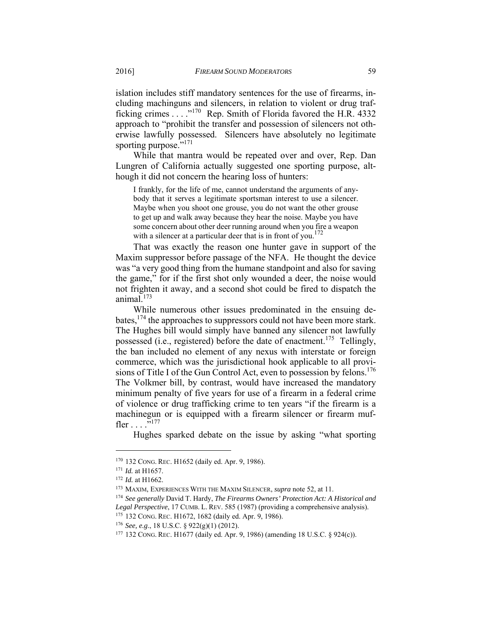islation includes stiff mandatory sentences for the use of firearms, including machinguns and silencers, in relation to violent or drug trafficking crimes  $\dots$ <sup>170</sup> Rep. Smith of Florida favored the H.R. 4332 approach to "prohibit the transfer and possession of silencers not otherwise lawfully possessed. Silencers have absolutely no legitimate sporting purpose."<sup>171</sup>

While that mantra would be repeated over and over, Rep. Dan Lungren of California actually suggested one sporting purpose, although it did not concern the hearing loss of hunters:

I frankly, for the life of me, cannot understand the arguments of anybody that it serves a legitimate sportsman interest to use a silencer. Maybe when you shoot one grouse, you do not want the other grouse to get up and walk away because they hear the noise. Maybe you have some concern about other deer running around when you fire a weapon with a silencer at a particular deer that is in front of you.<sup>172</sup>

That was exactly the reason one hunter gave in support of the Maxim suppressor before passage of the NFA. He thought the device was "a very good thing from the humane standpoint and also for saving the game," for if the first shot only wounded a deer, the noise would not frighten it away, and a second shot could be fired to dispatch the animal. $173$ 

While numerous other issues predominated in the ensuing debates,174 the approaches to suppressors could not have been more stark. The Hughes bill would simply have banned any silencer not lawfully possessed (i.e., registered) before the date of enactment.175 Tellingly, the ban included no element of any nexus with interstate or foreign commerce, which was the jurisdictional hook applicable to all provisions of Title I of the Gun Control Act, even to possession by felons.<sup>176</sup> The Volkmer bill, by contrast, would have increased the mandatory minimum penalty of five years for use of a firearm in a federal crime of violence or drug trafficking crime to ten years "if the firearm is a machinegun or is equipped with a firearm silencer or firearm muffler  $\ldots$  . . . . . 177

Hughes sparked debate on the issue by asking "what sporting

<sup>&</sup>lt;sup>170</sup> 132 CONG. REC. H1652 (daily ed. Apr. 9, 1986).<br><sup>171</sup> *Id.* at H1657.<br><sup>172</sup> *Id.* at H1662.<br><sup>173</sup> MAXIM, EXPERIENCES WITH THE MAXIM SILENCER, *supra* note 52, at 11.<br><sup>173</sup> MAXIM, EXPERIENCES WITH THE MAXIM SILENCER, Legal Perspective, 17 CUMB. L. REV. 585 (1987) (providing a comprehensive analysis).<br><sup>175</sup> 132 CONG. REC. H1672, 1682 (daily ed. Apr. 9, 1986).<br><sup>176</sup> See, e.g., 18 U.S.C. § 922(g)(1) (2012).<br><sup>177</sup> 132 CONG. REC. H1677 (dai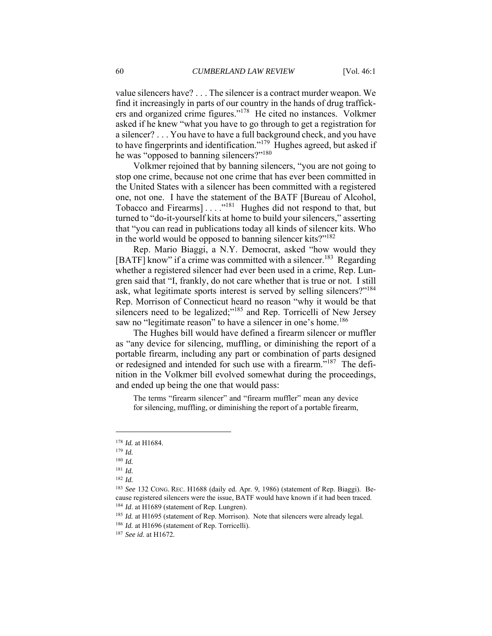value silencers have? . . . The silencer is a contract murder weapon. We find it increasingly in parts of our country in the hands of drug traffickers and organized crime figures."178 He cited no instances. Volkmer asked if he knew "what you have to go through to get a registration for a silencer? . . . You have to have a full background check, and you have to have fingerprints and identification."179 Hughes agreed, but asked if he was "opposed to banning silencers?"<sup>180</sup>

Volkmer rejoined that by banning silencers, "you are not going to stop one crime, because not one crime that has ever been committed in the United States with a silencer has been committed with a registered one, not one. I have the statement of the BATF [Bureau of Alcohol, Tobacco and Firearms] . . . ."181 Hughes did not respond to that, but turned to "do-it-yourself kits at home to build your silencers," asserting that "you can read in publications today all kinds of silencer kits. Who in the world would be opposed to banning silencer kits?"182

Rep. Mario Biaggi, a N.Y. Democrat, asked "how would they [BATF] know" if a crime was committed with a silencer.<sup>183</sup> Regarding whether a registered silencer had ever been used in a crime, Rep. Lungren said that "I, frankly, do not care whether that is true or not. I still ask, what legitimate sports interest is served by selling silencers?"184 Rep. Morrison of Connecticut heard no reason "why it would be that silencers need to be legalized;"<sup>185</sup> and Rep. Torricelli of New Jersey saw no "legitimate reason" to have a silencer in one's home.<sup>186</sup>

The Hughes bill would have defined a firearm silencer or muffler as "any device for silencing, muffling, or diminishing the report of a portable firearm, including any part or combination of parts designed or redesigned and intended for such use with a firearm."187 The definition in the Volkmer bill evolved somewhat during the proceedings, and ended up being the one that would pass:

The terms "firearm silencer" and "firearm muffler" mean any device for silencing, muffling, or diminishing the report of a portable firearm,

<sup>178</sup> *Id.* at H1684. 179 *Id.*

<sup>180</sup> *Id.* 181 *Id.*

<sup>182</sup> *Id.*

<sup>183</sup> *See* 132 CONG. REC. H1688 (daily ed. Apr. 9, 1986) (statement of Rep. Biaggi). Because registered silencers were the issue, BATF would have known if it had been traced.<br><sup>184</sup> *Id.* at H1689 (statement of Rep. Lungren).<br><sup>185</sup> *Id.* at H1695 (statement of Rep. Morrison). Note that silencers were already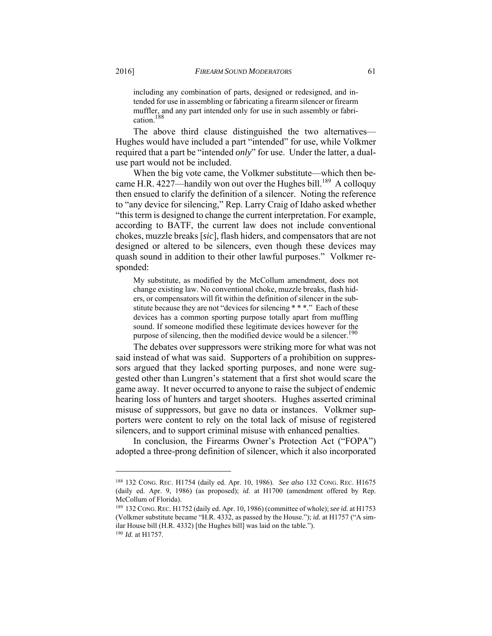including any combination of parts, designed or redesigned, and intended for use in assembling or fabricating a firearm silencer or firearm muffler, and any part intended only for use in such assembly or fabrication.188

The above third clause distinguished the two alternatives— Hughes would have included a part "intended" for use, while Volkmer required that a part be "intended *only*" for use. Under the latter, a dualuse part would not be included.

When the big vote came, the Volkmer substitute—which then became H.R. 4227—handily won out over the Hughes bill.<sup>189</sup> A colloquy then ensued to clarify the definition of a silencer. Noting the reference to "any device for silencing," Rep. Larry Craig of Idaho asked whether "this term is designed to change the current interpretation. For example, according to BATF, the current law does not include conventional chokes, muzzle breaks [*sic*], flash hiders, and compensators that are not designed or altered to be silencers, even though these devices may quash sound in addition to their other lawful purposes." Volkmer responded:

My substitute, as modified by the McCollum amendment, does not change existing law. No conventional choke, muzzle breaks, flash hiders, or compensators will fit within the definition of silencer in the substitute because they are not "devices for silencing \* \* \*." Each of these devices has a common sporting purpose totally apart from muffling sound. If someone modified these legitimate devices however for the purpose of silencing, then the modified device would be a silencer.<sup>190</sup>

The debates over suppressors were striking more for what was not said instead of what was said. Supporters of a prohibition on suppressors argued that they lacked sporting purposes, and none were suggested other than Lungren's statement that a first shot would scare the game away. It never occurred to anyone to raise the subject of endemic hearing loss of hunters and target shooters. Hughes asserted criminal misuse of suppressors, but gave no data or instances. Volkmer supporters were content to rely on the total lack of misuse of registered silencers, and to support criminal misuse with enhanced penalties.

In conclusion, the Firearms Owner's Protection Act ("FOPA") adopted a three-prong definition of silencer, which it also incorporated

<sup>188 132</sup> CONG. REC. H1754 (daily ed. Apr. 10, 1986). *See also* 132 CONG. REC. H1675 (daily ed. Apr. 9, 1986) (as proposed); *id*. at H1700 (amendment offered by Rep. McCollum of Florida).

<sup>189 132</sup> CONG.REC. H1752 (daily ed. Apr. 10, 1986) (committee of whole); *see id.* at H1753 (Volkmer substitute became "H.R. 4332, as passed by the House."); *id.* at H1757 ("A similar House bill (H.R. 4332) [the Hughes bill] was laid on the table."). 190 *Id.* at H1757.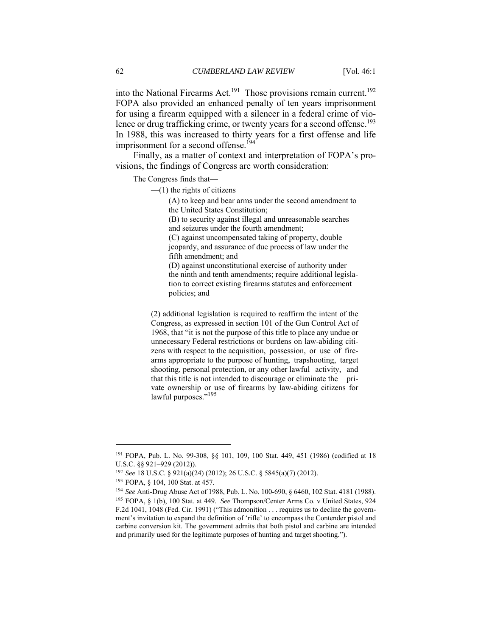into the National Firearms Act.<sup>191</sup> Those provisions remain current.<sup>192</sup> FOPA also provided an enhanced penalty of ten years imprisonment for using a firearm equipped with a silencer in a federal crime of violence or drug trafficking crime, or twenty years for a second offense.<sup>193</sup> In 1988, this was increased to thirty years for a first offense and life imprisonment for a second offense.<sup>194</sup>

Finally, as a matter of context and interpretation of FOPA's provisions, the findings of Congress are worth consideration:

The Congress finds that—

 $-$ (1) the rights of citizens

(A) to keep and bear arms under the second amendment to the United States Constitution;

(B) to security against illegal and unreasonable searches and seizures under the fourth amendment;

(C) against uncompensated taking of property, double jeopardy, and assurance of due process of law under the fifth amendment; and

(D) against unconstitutional exercise of authority under the ninth and tenth amendments; require additional legislation to correct existing firearms statutes and enforcement policies; and

(2) additional legislation is required to reaffirm the intent of the Congress, as expressed in section 101 of the Gun Control Act of 1968, that "it is not the purpose of this title to place any undue or unnecessary Federal restrictions or burdens on law-abiding citizens with respect to the acquisition, possession, or use of firearms appropriate to the purpose of hunting, trapshooting, target shooting, personal protection, or any other lawful activity, and that this title is not intended to discourage or eliminate the private ownership or use of firearms by law-abiding citizens for lawful purposes."<sup>195</sup>

<sup>191</sup> FOPA, Pub. L. No. 99-308, §§ 101, 109, 100 Stat. 449, 451 (1986) (codified at 18 U.S.C. §§ 921–929 (2012)).

<sup>&</sup>lt;sup>192</sup> See 18 U.S.C. § 921(a)(24) (2012); 26 U.S.C. § 5845(a)(7) (2012).<br><sup>193</sup> FOPA, § 104, 100 Stat. at 457.<br><sup>194</sup> See Anti-Drug Abuse Act of 1988, Pub. L. No. 100-690, § 6460, 102 Stat. 4181 (1988).<br><sup>195</sup> FOPA. § 1(b). 1 F.2d 1041, 1048 (Fed. Cir. 1991) ("This admonition . . . requires us to decline the government's invitation to expand the definition of 'rifle' to encompass the Contender pistol and carbine conversion kit. The government admits that both pistol and carbine are intended and primarily used for the legitimate purposes of hunting and target shooting.").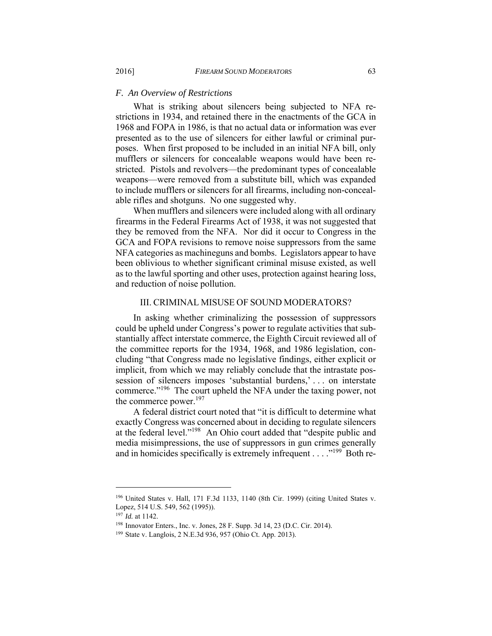#### *F. An Overview of Restrictions*

What is striking about silencers being subjected to NFA restrictions in 1934, and retained there in the enactments of the GCA in 1968 and FOPA in 1986, is that no actual data or information was ever presented as to the use of silencers for either lawful or criminal purposes. When first proposed to be included in an initial NFA bill, only mufflers or silencers for concealable weapons would have been restricted. Pistols and revolvers—the predominant types of concealable weapons—were removed from a substitute bill, which was expanded to include mufflers or silencers for all firearms, including non-concealable rifles and shotguns. No one suggested why.

When mufflers and silencers were included along with all ordinary firearms in the Federal Firearms Act of 1938, it was not suggested that they be removed from the NFA. Nor did it occur to Congress in the GCA and FOPA revisions to remove noise suppressors from the same NFA categories as machineguns and bombs. Legislators appear to have been oblivious to whether significant criminal misuse existed, as well as to the lawful sporting and other uses, protection against hearing loss, and reduction of noise pollution.

### III. CRIMINAL MISUSE OF SOUND MODERATORS?

In asking whether criminalizing the possession of suppressors could be upheld under Congress's power to regulate activities that substantially affect interstate commerce, the Eighth Circuit reviewed all of the committee reports for the 1934, 1968, and 1986 legislation, concluding "that Congress made no legislative findings, either explicit or implicit, from which we may reliably conclude that the intrastate possession of silencers imposes 'substantial burdens,' . . . on interstate commerce."196 The court upheld the NFA under the taxing power, not the commerce power.<sup>197</sup>

A federal district court noted that "it is difficult to determine what exactly Congress was concerned about in deciding to regulate silencers at the federal level."198 An Ohio court added that "despite public and media misimpressions, the use of suppressors in gun crimes generally and in homicides specifically is extremely infrequent . . . . .<sup>"199</sup> Both re-

<sup>196</sup> United States v. Hall, 171 F.3d 1133, 1140 (8th Cir. 1999) (citing United States v. Lopez, 514 U.S. 549, 562 (1995)).

<sup>&</sup>lt;sup>197</sup> *Id.* at 1142.<br><sup>198</sup> Innovator Enters., Inc. v. Jones, 28 F. Supp. 3d 14, 23 (D.C. Cir. 2014).<br><sup>199</sup> State v. Langlois, 2 N.E.3d 936, 957 (Ohio Ct. App. 2013).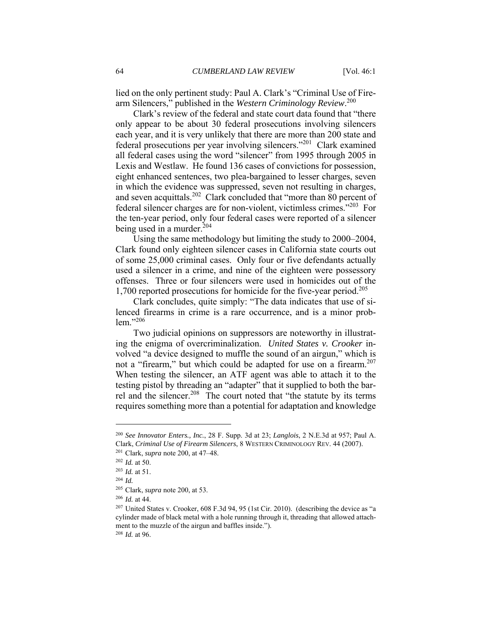lied on the only pertinent study: Paul A. Clark's "Criminal Use of Firearm Silencers," published in the *Western Criminology Review*. 200

Clark's review of the federal and state court data found that "there only appear to be about 30 federal prosecutions involving silencers each year, and it is very unlikely that there are more than 200 state and federal prosecutions per year involving silencers."201 Clark examined all federal cases using the word "silencer" from 1995 through 2005 in Lexis and Westlaw. He found 136 cases of convictions for possession, eight enhanced sentences, two plea-bargained to lesser charges, seven in which the evidence was suppressed, seven not resulting in charges, and seven acquittals.<sup>202</sup> Clark concluded that "more than 80 percent of federal silencer charges are for non-violent, victimless crimes."203 For the ten-year period, only four federal cases were reported of a silencer being used in a murder. $204$ 

Using the same methodology but limiting the study to 2000–2004, Clark found only eighteen silencer cases in California state courts out of some 25,000 criminal cases. Only four or five defendants actually used a silencer in a crime, and nine of the eighteen were possessory offenses. Three or four silencers were used in homicides out of the 1,700 reported prosecutions for homicide for the five-year period.<sup>205</sup>

Clark concludes, quite simply: "The data indicates that use of silenced firearms in crime is a rare occurrence, and is a minor problem."<sup>206</sup>

Two judicial opinions on suppressors are noteworthy in illustrating the enigma of overcriminalization. *United States v. Crooker* involved "a device designed to muffle the sound of an airgun," which is not a "firearm," but which could be adapted for use on a firearm.<sup>207</sup> When testing the silencer, an ATF agent was able to attach it to the testing pistol by threading an "adapter" that it supplied to both the barrel and the silencer.<sup>208</sup> The court noted that "the statute by its terms" requires something more than a potential for adaptation and knowledge

<sup>200</sup> *See Innovator Enters., Inc.*, 28 F. Supp. 3d at 23; *Langlois*, 2 N.E.3d at 957; Paul A. Clark, *Criminal Use of Firearm Silencers*, 8 WESTERN CRIMINOLOGY REV. 44 (2007). 201 Clark, *supra* note 200, at 47–48. 202 *Id.* at 50. 203 *Id.* at 51. 204 *Id.*

<sup>205</sup> Clark, *supra* note 200, at 53. 206 *Id.* at 44. 207 United States v. Crooker, 608 F.3d 94, 95 (1st Cir. 2010). (describing the device as "a cylinder made of black metal with a hole running through it, threading that allowed attachment to the muzzle of the airgun and baffles inside."). 208 *Id.* at 96.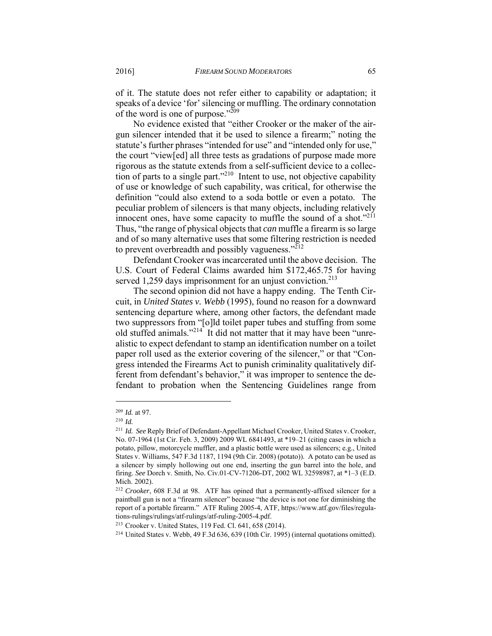of it. The statute does not refer either to capability or adaptation; it speaks of a device 'for' silencing or muffling. The ordinary connotation of the word is one of purpose."209

No evidence existed that "either Crooker or the maker of the airgun silencer intended that it be used to silence a firearm;" noting the statute's further phrases "intended for use" and "intended only for use," the court "view[ed] all three tests as gradations of purpose made more rigorous as the statute extends from a self-sufficient device to a collection of parts to a single part."<sup>210</sup> Intent to use, not objective capability of use or knowledge of such capability, was critical, for otherwise the definition "could also extend to a soda bottle or even a potato. The peculiar problem of silencers is that many objects, including relatively innocent ones, have some capacity to muffle the sound of a shot." $211$ Thus, "the range of physical objects that *can* muffle a firearm is so large and of so many alternative uses that some filtering restriction is needed to prevent overbreadth and possibly vagueness." $^{212}$ 

Defendant Crooker was incarcerated until the above decision. The U.S. Court of Federal Claims awarded him \$172,465.75 for having served 1,259 days imprisonment for an unjust conviction.<sup>213</sup>

The second opinion did not have a happy ending. The Tenth Circuit, in *United States v. Webb* (1995), found no reason for a downward sentencing departure where, among other factors, the defendant made two suppressors from "[o]ld toilet paper tubes and stuffing from some old stuffed animals."214 It did not matter that it may have been "unrealistic to expect defendant to stamp an identification number on a toilet paper roll used as the exterior covering of the silencer," or that "Congress intended the Firearms Act to punish criminality qualitatively different from defendant's behavior," it was improper to sentence the defendant to probation when the Sentencing Guidelines range from

<sup>209</sup> *Id.* at 97. 210 *Id.*

<sup>211</sup> *Id. See* Reply Brief of Defendant-Appellant Michael Crooker, United States v. Crooker, No. 07-1964 (1st Cir. Feb. 3, 2009) 2009 WL 6841493, at \*19–21 (citing cases in which a potato, pillow, motorcycle muffler, and a plastic bottle were used as silencers; e*.*g., United States v. Williams, 547 F.3d 1187, 1194 (9th Cir. 2008) (potato)). A potato can be used as a silencer by simply hollowing out one end, inserting the gun barrel into the hole, and firing. *See* Dorch v. Smith, No. Civ.01-CV-71206-DT, 2002 WL 32598987, at \*1–3 (E.D. Mich. 2002).

<sup>212</sup> *Crooker*, 608 F.3d at 98. ATF has opined that a permanently-affixed silencer for a paintball gun is not a "firearm silencer" because "the device is not one for diminishing the report of a portable firearm." ATF Ruling 2005-4, ATF, https://www.atf.gov/files/regulations-rulings/rulings/atf-rulings/atf-ruling-2005-4.pdf.<br><sup>213</sup> Crooker v. United States, 119 Fed. Cl. 641, 658 (2014).<br><sup>214</sup> United States v. Webb, 49 F.3d 636, 639 (10th Cir. 1995) (internal quotations omitted).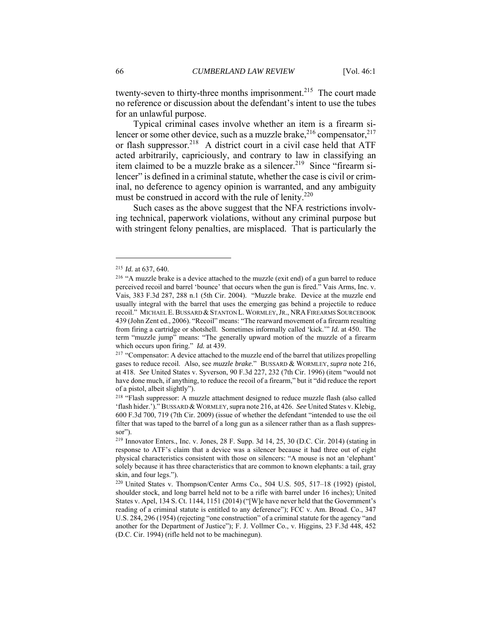twenty-seven to thirty-three months imprisonment.<sup>215</sup> The court made no reference or discussion about the defendant's intent to use the tubes for an unlawful purpose.

Typical criminal cases involve whether an item is a firearm silencer or some other device, such as a muzzle brake,  $2^{16}$  compensator,  $2^{17}$ or flash suppressor.<sup>218</sup> A district court in a civil case held that ATF acted arbitrarily, capriciously, and contrary to law in classifying an item claimed to be a muzzle brake as a silencer.<sup>219</sup> Since "firearm silencer" is defined in a criminal statute, whether the case is civil or criminal, no deference to agency opinion is warranted, and any ambiguity must be construed in accord with the rule of lenity.<sup>220</sup>

Such cases as the above suggest that the NFA restrictions involving technical, paperwork violations, without any criminal purpose but with stringent felony penalties, are misplaced. That is particularly the

<sup>&</sup>lt;sup>215</sup> *Id.* at 637, 640.<br><sup>216</sup> "A muzzle brake is a device attached to the muzzle (exit end) of a gun barrel to reduce perceived recoil and barrel 'bounce' that occurs when the gun is fired." Vais Arms, Inc. v. Vais, 383 F.3d 287, 288 n.1 (5th Cir. 2004). "Muzzle brake. Device at the muzzle end usually integral with the barrel that uses the emerging gas behind a projectile to reduce recoil." MICHAEL E.BUSSARD &STANTON L.WORMLEY,JR., NRA FIREARMS SOURCEBOOK 439 (John Zent ed., 2006). "Recoil" means: "The rearward movement of a firearm resulting from firing a cartridge or shotshell. Sometimes informally called 'kick.'" *Id.* at 450. The term "muzzle jump" means: "The generally upward motion of the muzzle of a firearm which occurs upon firing." *Id.* at 439.<br><sup>217</sup> "Compensator: A device attached to the muzzle end of the barrel that utilizes propelling

gases to reduce recoil. Also, see *muzzle brake*." BUSSARD & WORMLEY, *supra* note 216, at 418. *See* United States v. Syverson, 90 F.3d 227, 232 (7th Cir. 1996) (item "would not have done much, if anything, to reduce the recoil of a firearm," but it "did reduce the report of a pistol, albeit slightly").

<sup>218 &</sup>quot;Flash suppressor: A muzzle attachment designed to reduce muzzle flash (also called 'flash hider.')." BUSSARD &WORMLEY*,*supra note 216, at 426. *See* United States v. Klebig, 600 F.3d 700, 719 (7th Cir. 2009) (issue of whether the defendant "intended to use the oil filter that was taped to the barrel of a long gun as a silencer rather than as a flash suppressor").

<sup>219</sup> Innovator Enters., Inc. v. Jones, 28 F. Supp. 3d 14, 25, 30 (D.C. Cir. 2014) (stating in response to ATF's claim that a device was a silencer because it had three out of eight physical characteristics consistent with those on silencers: "A mouse is not an 'elephant' solely because it has three characteristics that are common to known elephants: a tail, gray skin, and four legs.").

<sup>220</sup> United States v. Thompson/Center Arms Co*.*, 504 U.S. 505, 517–18 (1992) (pistol, shoulder stock, and long barrel held not to be a rifle with barrel under 16 inches); United States v. Apel, 134 S. Ct. 1144, 1151 (2014) ("[W]e have never held that the Government's reading of a criminal statute is entitled to any deference"); FCC v. Am. Broad. Co., 347 U.S. 284, 296 (1954) (rejecting "one construction" of a criminal statute for the agency "and another for the Department of Justice"); F. J. Vollmer Co., v. Higgins, 23 F.3d 448, 452 (D.C. Cir. 1994) (rifle held not to be machinegun).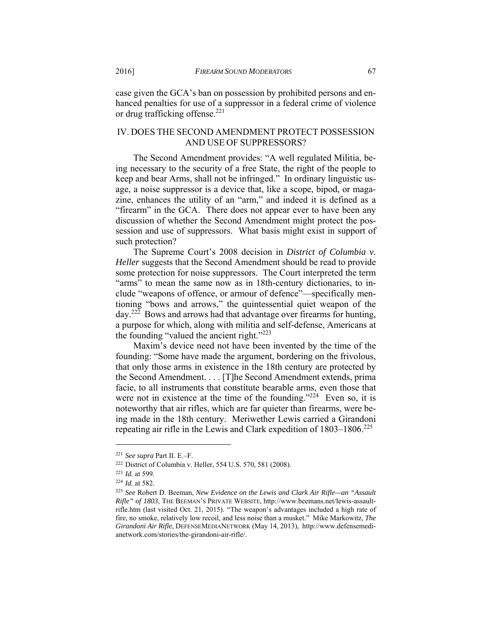case given the GCA's ban on possession by prohibited persons and enhanced penalties for use of a suppressor in a federal crime of violence or drug trafficking offense.<sup>221</sup>

# IV. DOES THE SECOND AMENDMENT PROTECT POSSESSION AND USE OF SUPPRESSORS?

The Second Amendment provides: "A well regulated Militia, being necessary to the security of a free State, the right of the people to keep and bear Arms, shall not be infringed." In ordinary linguistic usage, a noise suppressor is a device that, like a scope, bipod, or magazine, enhances the utility of an "arm," and indeed it is defined as a "firearm" in the GCA. There does not appear ever to have been any discussion of whether the Second Amendment might protect the possession and use of suppressors. What basis might exist in support of such protection?

The Supreme Court's 2008 decision in *District of Columbia v. Heller* suggests that the Second Amendment should be read to provide some protection for noise suppressors. The Court interpreted the term "arms" to mean the same now as in 18th-century dictionaries, to include "weapons of offence, or armour of defence"—specifically mentioning "bows and arrows," the quintessential quiet weapon of the day.<sup>222</sup> Bows and arrows had that advantage over firearms for hunting, a purpose for which, along with militia and self-defense, Americans at the founding "valued the ancient right."<sup>223</sup>

Maxim's device need not have been invented by the time of the founding: "Some have made the argument, bordering on the frivolous, that only those arms in existence in the 18th century are protected by the Second Amendment. . . . [T]he Second Amendment extends, prima facie, to all instruments that constitute bearable arms, even those that were not in existence at the time of the founding." $224$  Even so, it is noteworthy that air rifles, which are far quieter than firearms, were being made in the 18th century. Meriwether Lewis carried a Girandoni repeating air rifle in the Lewis and Clark expedition of 1803–1806.<sup>225</sup>

<sup>&</sup>lt;sup>221</sup> See supra Part II. E.–F.<br><sup>222</sup> District of Columbia v. Heller, 554 U.S. 570, 581 (2008).<br><sup>223</sup> Id. at 599.<br><sup>224</sup> Id. at 582.<br><sup>225</sup> See Robert D. Beeman, *New Evidence on the Lewis and Clark Air Rifle—an "Assault Rifle" of 1803*, THE BEEMAN'S PRIVATE WEBSITE, http://www.beemans.net/lewis-assaultrifle.htm (last visited Oct. 21, 2015). "The weapon's advantages included a high rate of fire, no smoke, relatively low recoil, and less noise than a musket." Mike Markowitz, *The Girandoni Air Rifle*, DEFENSEMEDIANETWORK (May 14, 2013), http://www.defensemedianetwork.com/stories/the-girandoni-air-rifle/.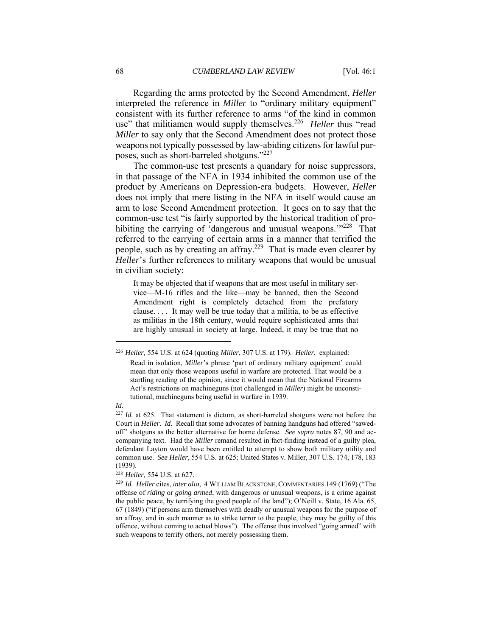Regarding the arms protected by the Second Amendment, *Heller* interpreted the reference in *Miller* to "ordinary military equipment" consistent with its further reference to arms "of the kind in common use" that militiamen would supply themselves.<sup>226</sup> *Heller* thus "read *Miller* to say only that the Second Amendment does not protect those weapons not typically possessed by law-abiding citizens for lawful purposes, such as short-barreled shotguns."227

The common-use test presents a quandary for noise suppressors, in that passage of the NFA in 1934 inhibited the common use of the product by Americans on Depression-era budgets. However, *Heller* does not imply that mere listing in the NFA in itself would cause an arm to lose Second Amendment protection. It goes on to say that the common-use test "is fairly supported by the historical tradition of prohibiting the carrying of 'dangerous and unusual weapons.'"<sup>228</sup> That referred to the carrying of certain arms in a manner that terrified the people, such as by creating an affray.<sup>229</sup> That is made even clearer by *Heller*'s further references to military weapons that would be unusual in civilian society:

It may be objected that if weapons that are most useful in military service—M-16 rifles and the like—may be banned, then the Second Amendment right is completely detached from the prefatory clause. . . . It may well be true today that a militia, to be as effective as militias in the 18th century, would require sophisticated arms that are highly unusual in society at large. Indeed, it may be true that no

#### *Id.*

<sup>226</sup> *Heller,* 554 U.S. at 624 (quoting *Miller*, 307 U.S. at 179). *Heller*, explained: Read in isolation, *Miller*'s phrase 'part of ordinary military equipment' could mean that only those weapons useful in warfare are protected. That would be a startling reading of the opinion, since it would mean that the National Firearms Act's restrictions on machineguns (not challenged in *Miller*) might be unconstitutional, machineguns being useful in warfare in 1939.

<sup>227</sup> *Id.* at 625. That statement is dictum, as short-barreled shotguns were not before the Court in *Heller*. *Id.* Recall that some advocates of banning handguns had offered "sawedoff" shotguns as the better alternative for home defense. *See supra* notes 87, 90 and accompanying text. Had the *Miller* remand resulted in fact-finding instead of a guilty plea, defendant Layton would have been entitled to attempt to show both military utility and common use. *See Heller*, 554 U.S. at 625; United States v. Miller, 307 U.S. 174, 178, 183 (1939).

<sup>228</sup> *Heller,* 554 U.S. at 627. 229 *Id. Heller* cites, *inter alia*, 4 WILLIAM BLACKSTONE, COMMENTARIES 149 (1769) ("The offense of *riding* or *going armed*, with dangerous or unusual weapons, is a crime against the public peace, by terrifying the good people of the land"); O'Neill v. State, 16 Ala. 65, 67 (1849) ("if persons arm themselves with deadly or unusual weapons for the purpose of an affray, and in such manner as to strike terror to the people, they may be guilty of this offence, without coming to actual blows"). The offense thus involved "going armed" with such weapons to terrify others, not merely possessing them.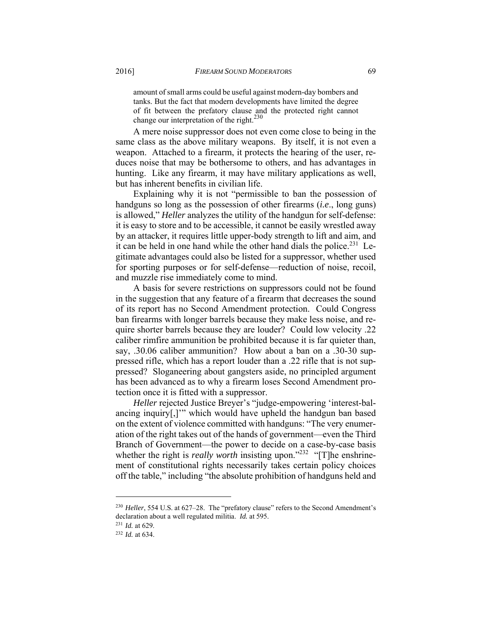amount of small arms could be useful against modern-day bombers and tanks. But the fact that modern developments have limited the degree of fit between the prefatory clause and the protected right cannot change our interpretation of the right.<sup>230</sup>

A mere noise suppressor does not even come close to being in the same class as the above military weapons. By itself, it is not even a weapon. Attached to a firearm, it protects the hearing of the user, reduces noise that may be bothersome to others, and has advantages in hunting. Like any firearm, it may have military applications as well, but has inherent benefits in civilian life.

Explaining why it is not "permissible to ban the possession of handguns so long as the possession of other firearms (*i.e*., long guns) is allowed," *Heller* analyzes the utility of the handgun for self-defense: it is easy to store and to be accessible, it cannot be easily wrestled away by an attacker, it requires little upper-body strength to lift and aim, and it can be held in one hand while the other hand dials the police.<sup>231</sup> Legitimate advantages could also be listed for a suppressor, whether used for sporting purposes or for self-defense—reduction of noise, recoil, and muzzle rise immediately come to mind.

A basis for severe restrictions on suppressors could not be found in the suggestion that any feature of a firearm that decreases the sound of its report has no Second Amendment protection. Could Congress ban firearms with longer barrels because they make less noise, and require shorter barrels because they are louder? Could low velocity .22 caliber rimfire ammunition be prohibited because it is far quieter than, say, .30.06 caliber ammunition? How about a ban on a .30-30 suppressed rifle, which has a report louder than a .22 rifle that is not suppressed? Sloganeering about gangsters aside, no principled argument has been advanced as to why a firearm loses Second Amendment protection once it is fitted with a suppressor.

*Heller* rejected Justice Breyer's "judge-empowering 'interest-balancing inquiry[,]'" which would have upheld the handgun ban based on the extent of violence committed with handguns: "The very enumeration of the right takes out of the hands of government—even the Third Branch of Government—the power to decide on a case-by-case basis whether the right is *really worth* insisting upon."<sup>232</sup> "[T]he enshrinement of constitutional rights necessarily takes certain policy choices off the table," including "the absolute prohibition of handguns held and

<sup>&</sup>lt;sup>230</sup> Heller, 554 U.S. at 627–28. The "prefatory clause" refers to the Second Amendment's declaration about a well regulated militia. *Id.* at 595. 231 *Id.* at 629. 232 *Id.* at 634.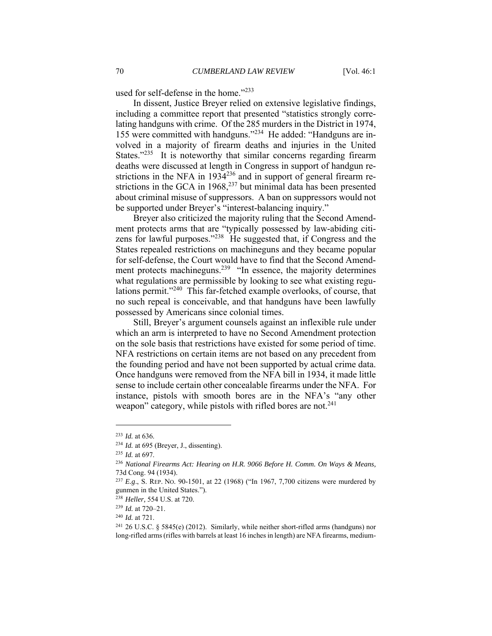used for self-defense in the home."<sup>233</sup>

In dissent, Justice Breyer relied on extensive legislative findings, including a committee report that presented "statistics strongly correlating handguns with crime. Of the 285 murders in the District in 1974, 155 were committed with handguns."234 He added: "Handguns are involved in a majority of firearm deaths and injuries in the United States."<sup>235</sup> It is noteworthy that similar concerns regarding firearm deaths were discussed at length in Congress in support of handgun restrictions in the NFA in  $1934^{236}$  and in support of general firearm restrictions in the GCA in  $1968$ ,<sup>237</sup> but minimal data has been presented about criminal misuse of suppressors. A ban on suppressors would not be supported under Breyer's "interest-balancing inquiry."

Breyer also criticized the majority ruling that the Second Amendment protects arms that are "typically possessed by law-abiding citizens for lawful purposes."238 He suggested that, if Congress and the States repealed restrictions on machineguns and they became popular for self-defense, the Court would have to find that the Second Amendment protects machineguns.<sup>239</sup> "In essence, the majority determines" what regulations are permissible by looking to see what existing regulations permit."240 This far-fetched example overlooks, of course, that no such repeal is conceivable, and that handguns have been lawfully possessed by Americans since colonial times.

Still, Breyer's argument counsels against an inflexible rule under which an arm is interpreted to have no Second Amendment protection on the sole basis that restrictions have existed for some period of time. NFA restrictions on certain items are not based on any precedent from the founding period and have not been supported by actual crime data. Once handguns were removed from the NFA bill in 1934, it made little sense to include certain other concealable firearms under the NFA. For instance, pistols with smooth bores are in the NFA's "any other weapon" category, while pistols with rifled bores are not.<sup>241</sup>

<sup>233</sup> *Id.* at 636. 234 *Id.* at 695 (Breyer, J., dissenting). 235 *Id.* at 697. 236 *National Firearms Act: Hearing on H.R. 9066 Before H. Comm. On Ways & Means,* 73d Cong. 94 (1934).

<sup>237</sup> *E.g*., S. REP. NO. 90-1501, at 22 (1968) ("In 1967, 7,700 citizens were murdered by gunmen in the United States.").

<sup>&</sup>lt;sup>238</sup> Heller, 554 U.S. at 720.<br><sup>239</sup> Id. at 720–21.<br><sup>240</sup> Id. at 721.<br><sup>241</sup> 26 U.S.C. § 5845(e) (2012). Similarly, while neither short-rifled arms (handguns) nor long-rifled arms (rifles with barrels at least 16 inches in length) are NFA firearms, medium-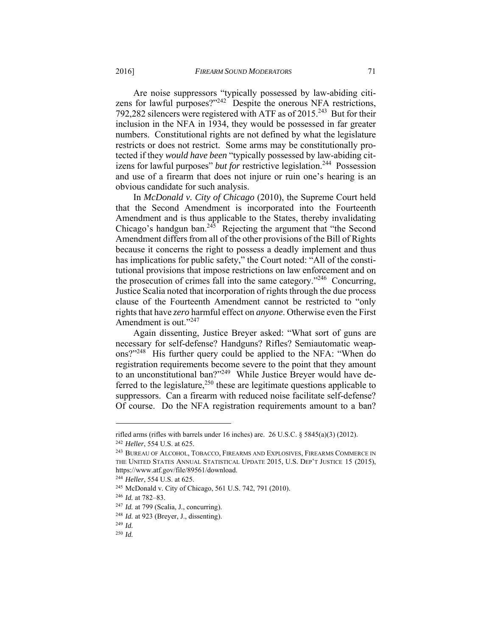Are noise suppressors "typically possessed by law-abiding citizens for lawful purposes?"<sup>242</sup> Despite the onerous NFA restrictions, 792,282 silencers were registered with ATF as of  $2015^{243}$  But for their inclusion in the NFA in 1934, they would be possessed in far greater numbers. Constitutional rights are not defined by what the legislature restricts or does not restrict. Some arms may be constitutionally protected if they *would have been* "typically possessed by law-abiding citizens for lawful purposes" *but for restrictive legislation*.<sup>244</sup> Possession and use of a firearm that does not injure or ruin one's hearing is an obvious candidate for such analysis.

In *McDonald v. City of Chicago* (2010), the Supreme Court held that the Second Amendment is incorporated into the Fourteenth Amendment and is thus applicable to the States, thereby invalidating Chicago's handgun ban.<sup>245</sup> Rejecting the argument that "the Second" Amendment differs from all of the other provisions of the Bill of Rights because it concerns the right to possess a deadly implement and thus has implications for public safety," the Court noted: "All of the constitutional provisions that impose restrictions on law enforcement and on the prosecution of crimes fall into the same category."246 Concurring, Justice Scalia noted that incorporation of rights through the due process clause of the Fourteenth Amendment cannot be restricted to "only rights that have *zero* harmful effect on *anyone*. Otherwise even the First Amendment is out."<sup>247</sup>

Again dissenting, Justice Breyer asked: "What sort of guns are necessary for self-defense? Handguns? Rifles? Semiautomatic weapons?"248 His further query could be applied to the NFA: "When do registration requirements become severe to the point that they amount to an unconstitutional ban?"<sup>249</sup> While Justice Breyer would have deferred to the legislature,<sup>250</sup> these are legitimate questions applicable to suppressors. Can a firearm with reduced noise facilitate self-defense? Of course. Do the NFA registration requirements amount to a ban?

rifled arms (rifles with barrels under 16 inches) are. 26 U.S.C. § 5845(a)(3) (2012). 242 *Heller*, 554 U.S. at 625. 243 BUREAU OF ALCOHOL, TOBACCO, FIREARMS AND EXPLOSIVES, FIREARMS COMMERCE IN

THE UNITED STATES ANNUAL STATISTICAL UPDATE 2015, U.S. DEP'T JUSTICE 15 (2015), https://www.atf.gov/file/89561/download.

<sup>&</sup>lt;sup>244</sup> *Heller*, 554 U.S. at 625.<br><sup>245</sup> McDonald v. City of Chicago, 561 U.S. 742, 791 (2010).<br><sup>246</sup> *Id.* at 782–83.<br><sup>247</sup> *Id.* at 799 (Scalia, J., concurring).<br><sup>248</sup> *Id.* at 923 (Breyer, J., dissenting).<br><sup>248</sup> *Id.* at

<sup>250</sup> *Id.*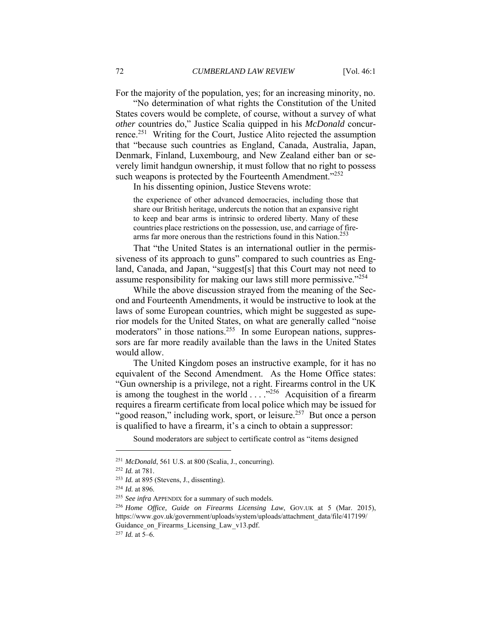For the majority of the population, yes; for an increasing minority, no.

"No determination of what rights the Constitution of the United States covers would be complete, of course, without a survey of what *other* countries do," Justice Scalia quipped in his *McDonald* concurrence.251 Writing for the Court, Justice Alito rejected the assumption that "because such countries as England, Canada, Australia, Japan, Denmark, Finland, Luxembourg, and New Zealand either ban or severely limit handgun ownership, it must follow that no right to possess such weapons is protected by the Fourteenth Amendment."<sup>252</sup>

In his dissenting opinion, Justice Stevens wrote:

the experience of other advanced democracies, including those that share our British heritage, undercuts the notion that an expansive right to keep and bear arms is intrinsic to ordered liberty. Many of these countries place restrictions on the possession, use, and carriage of firearms far more onerous than the restrictions found in this Nation.<sup>253</sup>

That "the United States is an international outlier in the permissiveness of its approach to guns" compared to such countries as England, Canada, and Japan, "suggest[s] that this Court may not need to assume responsibility for making our laws still more permissive."254

While the above discussion strayed from the meaning of the Second and Fourteenth Amendments, it would be instructive to look at the laws of some European countries, which might be suggested as superior models for the United States, on what are generally called "noise moderators" in those nations.<sup>255</sup> In some European nations, suppressors are far more readily available than the laws in the United States would allow.

The United Kingdom poses an instructive example, for it has no equivalent of the Second Amendment. As the Home Office states: "Gun ownership is a privilege, not a right. Firearms control in the UK is among the toughest in the world . . . ."256 Acquisition of a firearm requires a firearm certificate from local police which may be issued for "good reason," including work, sport, or leisure.<sup>257</sup> But once a person is qualified to have a firearm, it's a cinch to obtain a suppressor:

Sound moderators are subject to certificate control as "items designed

<sup>&</sup>lt;sup>251</sup> McDonald, 561 U.S. at 800 (Scalia, J., concurring).<br><sup>252</sup> Id. at 781.<br><sup>253</sup> Id. at 895 (Stevens, J., dissenting).<br><sup>254</sup> Id. at 896.<br><sup>255</sup> See infra APPENDIX for a summary of such models.<br><sup>256</sup> Home Office, Guide on https://www.gov.uk/government/uploads/system/uploads/attachment\_data/file/417199/ Guidance on Firearms Licensing Law v13.pdf.

<sup>257</sup> *Id.* at 5–6.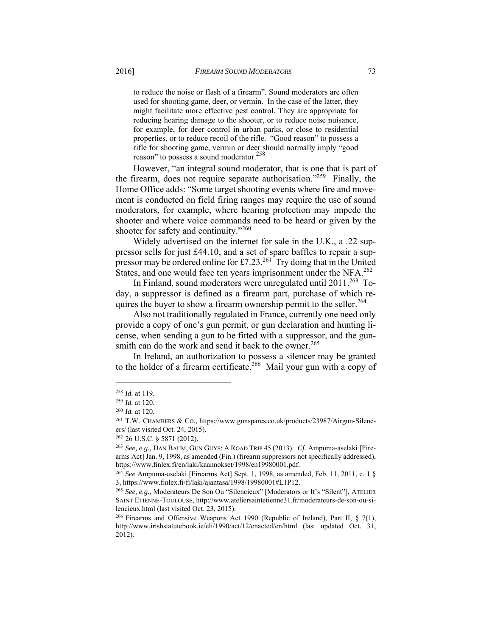to reduce the noise or flash of a firearm". Sound moderators are often used for shooting game, deer, or vermin. In the case of the latter, they might facilitate more effective pest control. They are appropriate for reducing hearing damage to the shooter, or to reduce noise nuisance, for example, for deer control in urban parks, or close to residential properties, or to reduce recoil of the rifle. "Good reason" to possess a rifle for shooting game, vermin or deer should normally imply "good reason" to possess a sound moderator.<sup>258</sup>

However, "an integral sound moderator, that is one that is part of the firearm, does not require separate authorisation."<sup>259</sup> Finally, the Home Office adds: "Some target shooting events where fire and movement is conducted on field firing ranges may require the use of sound moderators, for example, where hearing protection may impede the shooter and where voice commands need to be heard or given by the shooter for safety and continuity."<sup>260</sup>

Widely advertised on the internet for sale in the U.K., a .22 suppressor sells for just £44.10, and a set of spare baffles to repair a suppressor may be ordered online for £7.23.261 Try doing that in the United States, and one would face ten years imprisonment under the NFA.<sup>262</sup>

In Finland, sound moderators were unregulated until 2011.263 Today, a suppressor is defined as a firearm part, purchase of which requires the buyer to show a firearm ownership permit to the seller.<sup>264</sup>

Also not traditionally regulated in France, currently one need only provide a copy of one's gun permit, or gun declaration and hunting license, when sending a gun to be fitted with a suppressor, and the gunsmith can do the work and send it back to the owner.<sup>265</sup>

In Ireland, an authorization to possess a silencer may be granted to the holder of a firearm certificate.<sup>266</sup> Mail your gun with a copy of

<sup>&</sup>lt;sup>258</sup> *Id.* at 119.<br><sup>259</sup> *Id.* at 120.<br><sup>260</sup> *Id.* at 120.<br><sup>261</sup> T.W. CHAMBERS & Co., https://www.gunspares.co.uk/products/23987/Airgun-Silencers/ (last visited Oct. 24, 2015).<br><sup>262</sup> 26 U.S.C. § 5871 (2012).<br><sup>263</sup> *See, e.g.*, DAN BAUM, GUN GUYS: A ROAD TRIP 45 (2013). *Cf.* Ampuma-aselaki [Fire-

arms Act] Jan. 9, 1998, as amended (Fin.) (firearm suppressors not specifically addressed), https://www.finlex.fi/en/laki/kaannokset/1998/en19980001.pdf. 264 *See* Ampuma-aselaki [Firearms Act] Sept. 1, 1998, as amended, Feb. 11, 2011, c. 1 §

<sup>3,</sup> https://www.finlex.fi/fi/laki/ajantasa/1998/19980001#L1P12. 265 *See, e.g.*, Moderateurs De Son Ou "Silencieux" [Moderators or It's "Silent"], ATELIER

SAINT ETIENNE-TOULOUSE, http://www.ateliersaintetienne31.fr/moderateurs-de-son-ou-silencieux.html (last visited Oct. 23, 2015).

<sup>&</sup>lt;sup>266</sup> Firearms and Offensive Weapons Act 1990 (Republic of Ireland), Part II,  $\S$  7(1), http://www.irishstatutebook.ie/eli/1990/act/12/enacted/en/html (last updated Oct. 31, 2012).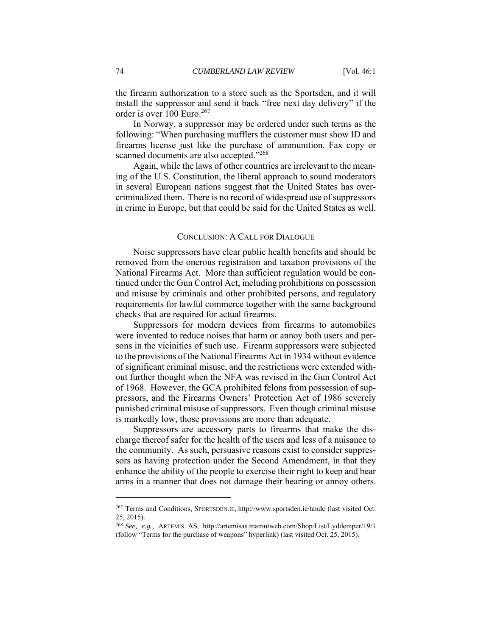the firearm authorization to a store such as the Sportsden, and it will install the suppressor and send it back "free next day delivery" if the order is over 100 Euro.<sup>267</sup>

In Norway, a suppressor may be ordered under such terms as the following: "When purchasing mufflers the customer must show ID and firearms license just like the purchase of ammunition. Fax copy or scanned documents are also accepted."<sup>268</sup>

Again, while the laws of other countries are irrelevant to the meaning of the U.S. Constitution, the liberal approach to sound moderators in several European nations suggest that the United States has overcriminalized them. There is no record of widespread use of suppressors in crime in Europe, but that could be said for the United States as well.

#### CONCLUSION: A CALL FOR DIALOGUE

Noise suppressors have clear public health benefits and should be removed from the onerous registration and taxation provisions of the National Firearms Act. More than sufficient regulation would be continued under the Gun Control Act, including prohibitions on possession and misuse by criminals and other prohibited persons, and regulatory requirements for lawful commerce together with the same background checks that are required for actual firearms.

Suppressors for modern devices from firearms to automobiles were invented to reduce noises that harm or annoy both users and persons in the vicinities of such use. Firearm suppressors were subjected to the provisions of the National Firearms Act in 1934 without evidence of significant criminal misuse, and the restrictions were extended without further thought when the NFA was revised in the Gun Control Act of 1968. However, the GCA prohibited felons from possession of suppressors, and the Firearms Owners' Protection Act of 1986 severely punished criminal misuse of suppressors. Even though criminal misuse is markedly low, those provisions are more than adequate.

Suppressors are accessory parts to firearms that make the discharge thereof safer for the health of the users and less of a nuisance to the community. As such, persuasive reasons exist to consider suppressors as having protection under the Second Amendment, in that they enhance the ability of the people to exercise their right to keep and bear arms in a manner that does not damage their hearing or annoy others.

<sup>267</sup> Terms and Conditions, SPORTSDEN.IE, http://www.sportsden.ie/tandc (last visited Oct. 25, 2015).

<sup>268</sup> *See, e.g.*, ARTEMIS AS, http://artemisas.mamutweb.com/Shop/List/Lyddemper/19/1 (follow "Terms for the purchase of weapons" hyperlink) (last visited Oct. 25, 2015).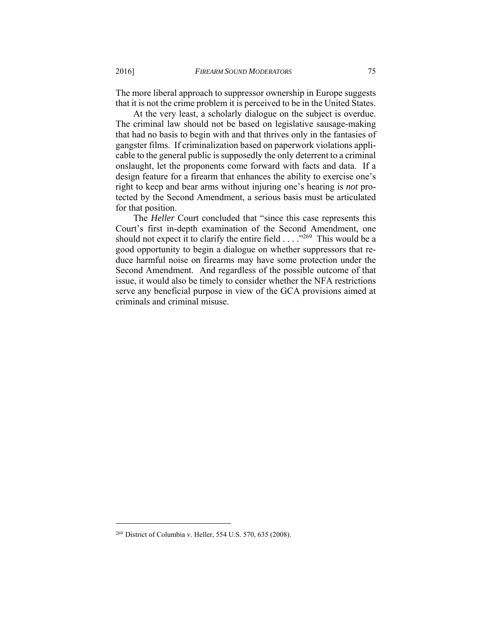The more liberal approach to suppressor ownership in Europe suggests that it is not the crime problem it is perceived to be in the United States.

At the very least, a scholarly dialogue on the subject is overdue. The criminal law should not be based on legislative sausage-making that had no basis to begin with and that thrives only in the fantasies of gangster films. If criminalization based on paperwork violations applicable to the general public is supposedly the only deterrent to a criminal onslaught, let the proponents come forward with facts and data. If a design feature for a firearm that enhances the ability to exercise one's right to keep and bear arms without injuring one's hearing is *not* protected by the Second Amendment, a serious basis must be articulated for that position.

The *Heller* Court concluded that "since this case represents this Court's first in-depth examination of the Second Amendment, one should not expect it to clarify the entire field . . . . "<sup>269</sup> This would be a good opportunity to begin a dialogue on whether suppressors that reduce harmful noise on firearms may have some protection under the Second Amendment. And regardless of the possible outcome of that issue, it would also be timely to consider whether the NFA restrictions serve any beneficial purpose in view of the GCA provisions aimed at criminals and criminal misuse.

<sup>269</sup> District of Columbia v. Heller, 554 U.S. 570, 635 (2008).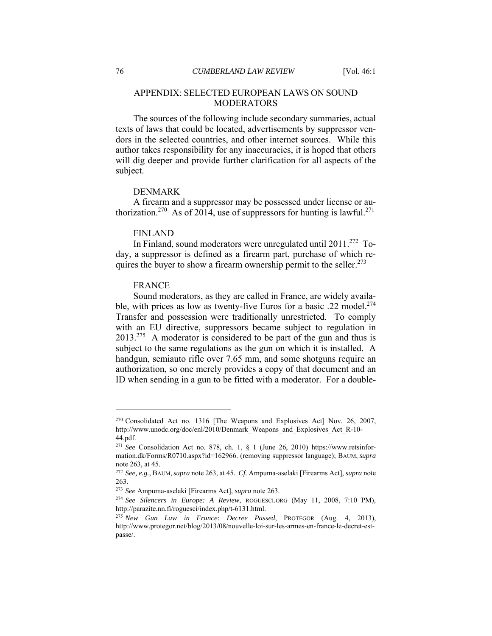# APPENDIX: SELECTED EUROPEAN LAWS ON SOUND MODERATORS

The sources of the following include secondary summaries, actual texts of laws that could be located, advertisements by suppressor vendors in the selected countries, and other internet sources. While this author takes responsibility for any inaccuracies, it is hoped that others will dig deeper and provide further clarification for all aspects of the subject.

## DENMARK

A firearm and a suppressor may be possessed under license or authorization.<sup>270</sup> As of 2014, use of suppressors for hunting is lawful.<sup>271</sup>

#### FINLAND

In Finland, sound moderators were unregulated until 2011.<sup>272</sup> Today, a suppressor is defined as a firearm part, purchase of which requires the buyer to show a firearm ownership permit to the seller.<sup>273</sup>

#### FRANCE

Sound moderators, as they are called in France, are widely available, with prices as low as twenty-five Euros for a basic .22 model.<sup>274</sup> Transfer and possession were traditionally unrestricted. To comply with an EU directive, suppressors became subject to regulation in  $2013.<sup>275</sup>$  A moderator is considered to be part of the gun and thus is subject to the same regulations as the gun on which it is installed. A handgun, semiauto rifle over 7.65 mm, and some shotguns require an authorization, so one merely provides a copy of that document and an ID when sending in a gun to be fitted with a moderator. For a double-

<sup>270</sup> Consolidated Act no. 1316 [The Weapons and Explosives Act] Nov. 26, 2007, http://www.unodc.org/doc/enl/2010/Denmark\_Weapons\_and\_Explosives\_Act\_R-10- 44.pdf.

<sup>271</sup> *See* Consolidation Act no. 878, ch. 1, § 1 (June 26, 2010) https://www.retsinformation.dk/Forms/R0710.aspx?id=162966. (removing suppressor language); BAUM, *supra*  note 263, at 45.

<sup>272</sup> *See, e.g.*, BAUM,*supra* note 263, at 45. *Cf.* Ampuma-aselaki [Firearms Act], *supra* note 263.

<sup>273</sup> *See* Ampuma-aselaki [Firearms Act], *supra* note 263. 274 *See Silencers in Europe: A Review*, ROGUESCI.ORG (May 11, 2008, 7:10 PM), http://parazite.nn.fi/roguesci/index.php/t-6131.html. 275 *New Gun Law in France: Decree Passed*, PROTEGOR (Aug. 4, 2013),

http://www.protegor.net/blog/2013/08/nouvelle-loi-sur-les-armes-en-france-le-decret-estpasse/.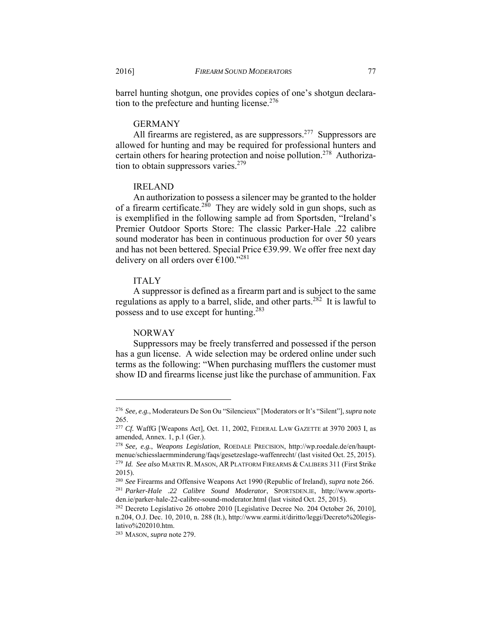barrel hunting shotgun, one provides copies of one's shotgun declaration to the prefecture and hunting license.<sup>276</sup>

### GERMANY

All firearms are registered, as are suppressors.<sup>277</sup> Suppressors are allowed for hunting and may be required for professional hunters and certain others for hearing protection and noise pollution.<sup>278</sup> Authorization to obtain suppressors varies. $279$ 

## IRELAND

An authorization to possess a silencer may be granted to the holder of a firearm certificate.<sup>280</sup> They are widely sold in gun shops, such as is exemplified in the following sample ad from Sportsden, "Ireland's Premier Outdoor Sports Store: The classic Parker-Hale .22 calibre sound moderator has been in continuous production for over 50 years and has not been bettered. Special Price €39.99. We offer free next day delivery on all orders over  $\epsilon$ 100."<sup>281</sup>

## ITALY

A suppressor is defined as a firearm part and is subject to the same regulations as apply to a barrel, slide, and other parts.<sup>282</sup> It is lawful to possess and to use except for hunting.283

#### NORWAY

Suppressors may be freely transferred and possessed if the person has a gun license. A wide selection may be ordered online under such terms as the following: "When purchasing mufflers the customer must show ID and firearms license just like the purchase of ammunition. Fax

<sup>276</sup> *See, e.g.*, Moderateurs De Son Ou "Silencieux" [Moderators or It's "Silent"], *supra* note 265.

<sup>&</sup>lt;sup>277</sup> Cf. WaffG [Weapons Act], Oct. 11, 2002, FEDERAL LAW GAZETTE at 3970 2003 I, as amended, Annex. 1, p.1 (Ger.).

<sup>278</sup> *See, e.g.*, *Weapons Legislation*, ROEDALE PRECISION, http://wp.roedale.de/en/hauptmenue/schiesslaermminderung/faqs/gesetzeslage-waffenrecht/ (last visited Oct. 25, 2015). 279 *Id. See also* MARTIN R. MASON, ARPLATFORM FIREARMS & CALIBERS 311 (First \$trike 2015).

<sup>280</sup> *See* Firearms and Offensive Weapons Act 1990 (Republic of Ireland), *supra* note 266. 281 *Parker-Hale .22 Calibre Sound Moderator*, SPORTSDEN.IE, http://www.sportsden.ie/parker-hale-22-calibre-sound-moderator.html (last visited Oct. 25, 2015). 282 Decreto Legislativo 26 ottobre 2010 [Legislative Decree No. 204 October 26, 2010],

n.204, O.J. Dec. 10, 2010, n. 288 (It.), http://www.earmi.it/diritto/leggi/Decreto%20legislativo%202010.htm.

<sup>283</sup> MASON, *supra* note 279.